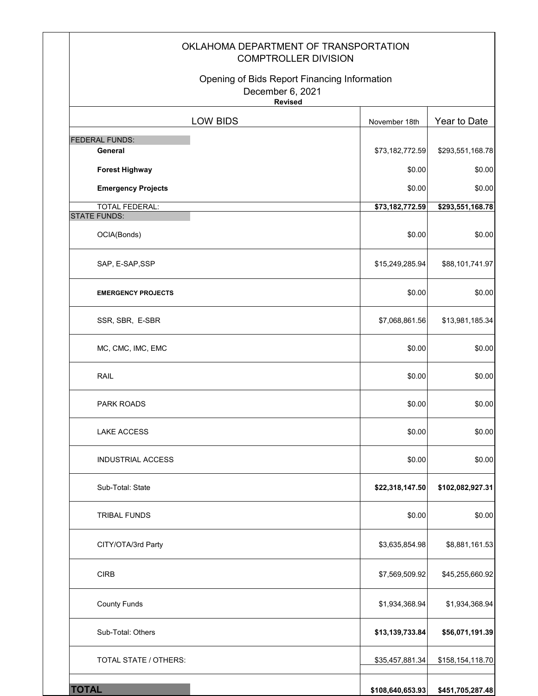| OKLAHOMA DEPARTMENT OF TRANSPORTATION<br><b>COMPTROLLER DIVISION</b>               |                  |                  |
|------------------------------------------------------------------------------------|------------------|------------------|
| Opening of Bids Report Financing Information<br>December 6, 2021<br><b>Revised</b> |                  |                  |
| LOW BIDS                                                                           | November 18th    | Year to Date     |
| <b>FEDERAL FUNDS:</b>                                                              |                  |                  |
| General                                                                            | \$73,182,772.59  | \$293,551,168.78 |
| <b>Forest Highway</b><br><b>Emergency Projects</b>                                 | \$0.00<br>\$0.00 | \$0.00<br>\$0.00 |
| <b>TOTAL FEDERAL:</b>                                                              | \$73,182,772.59  | \$293,551,168.78 |
| <b>STATE FUNDS:</b>                                                                |                  |                  |
| OCIA(Bonds)                                                                        | \$0.00           | \$0.00           |
| SAP, E-SAP, SSP                                                                    | \$15,249,285.94  | \$88,101,741.97  |
| <b>EMERGENCY PROJECTS</b>                                                          | \$0.00           | \$0.00           |
| SSR, SBR, E-SBR                                                                    | \$7,068,861.56   | \$13,981,185.34  |
| MC, CMC, IMC, EMC                                                                  | \$0.00           | \$0.00           |
| <b>RAIL</b>                                                                        | \$0.00           | \$0.00           |
| <b>PARK ROADS</b>                                                                  | \$0.00           | \$0.00           |
| <b>LAKE ACCESS</b>                                                                 | \$0.00           | \$0.00           |
| <b>INDUSTRIAL ACCESS</b>                                                           | \$0.00           | \$0.00           |
| Sub-Total: State                                                                   | \$22,318,147.50  | \$102,082,927.31 |
| <b>TRIBAL FUNDS</b>                                                                | \$0.00           | \$0.00           |
| CITY/OTA/3rd Party                                                                 | \$3,635,854.98   | \$8,881,161.53   |
| <b>CIRB</b>                                                                        | \$7,569,509.92   | \$45,255,660.92  |
| <b>County Funds</b>                                                                | \$1,934,368.94   | \$1,934,368.94   |
| Sub-Total: Others                                                                  | \$13,139,733.84  | \$56,071,191.39  |
| TOTAL STATE / OTHERS:                                                              | \$35,457,881.34  | \$158,154,118.70 |
| <b>TOTAL</b>                                                                       | \$108,640,653.93 | \$451,705,287.48 |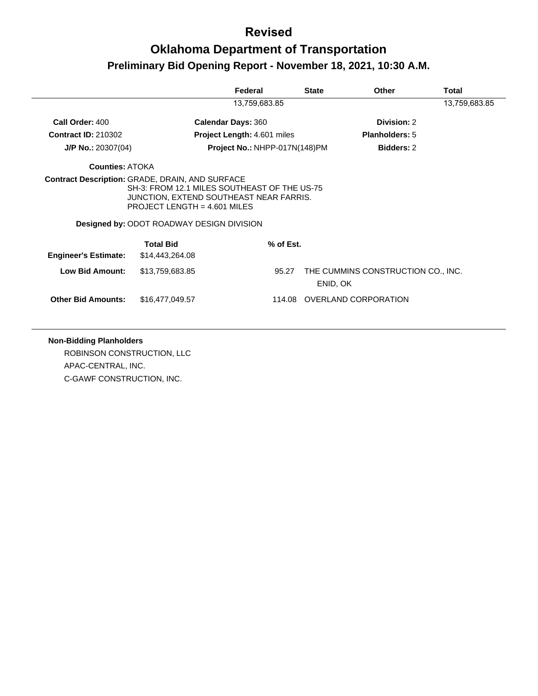## **Oklahoma Department of Transportation Preliminary Bid Opening Report - November 18, 2021, 10:30 A.M.**

|                             |                                                                                                                                                                                                                                         | Federal                       | <b>State</b> | Other                              | Total         |
|-----------------------------|-----------------------------------------------------------------------------------------------------------------------------------------------------------------------------------------------------------------------------------------|-------------------------------|--------------|------------------------------------|---------------|
|                             |                                                                                                                                                                                                                                         | 13,759,683.85                 |              |                                    | 13,759,683.85 |
| Call Order: 400             |                                                                                                                                                                                                                                         | <b>Calendar Days: 360</b>     |              | Division: 2                        |               |
| <b>Contract ID: 210302</b>  |                                                                                                                                                                                                                                         | Project Length: 4.601 miles   |              | <b>Planholders: 5</b>              |               |
| $J/P$ No.: 20307(04)        |                                                                                                                                                                                                                                         | Project No.: NHPP-017N(148)PM |              | <b>Bidders: 2</b>                  |               |
| <b>Counties: ATOKA</b>      |                                                                                                                                                                                                                                         |                               |              |                                    |               |
|                             | <b>Contract Description: GRADE, DRAIN, AND SURFACE</b><br>SH-3: FROM 12.1 MILES SOUTHEAST OF THE US-75<br>JUNCTION, EXTEND SOUTHEAST NEAR FARRIS.<br>PROJECT LENGTH = $4.601$ MILES<br><b>Designed by: ODOT ROADWAY DESIGN DIVISION</b> |                               |              |                                    |               |
|                             | <b>Total Bid</b>                                                                                                                                                                                                                        | % of Est.                     |              |                                    |               |
| <b>Engineer's Estimate:</b> | \$14,443,264.08                                                                                                                                                                                                                         |                               |              |                                    |               |
| <b>Low Bid Amount:</b>      | \$13,759,683.85                                                                                                                                                                                                                         | 95.27                         | ENID, OK     | THE CUMMINS CONSTRUCTION CO., INC. |               |
| <b>Other Bid Amounts:</b>   | \$16,477,049.57                                                                                                                                                                                                                         |                               |              | 114.08 OVERLAND CORPORATION        |               |

**Non-Bidding Planholders** ROBINSON CONSTRUCTION, LLC APAC-CENTRAL, INC. C-GAWF CONSTRUCTION, INC.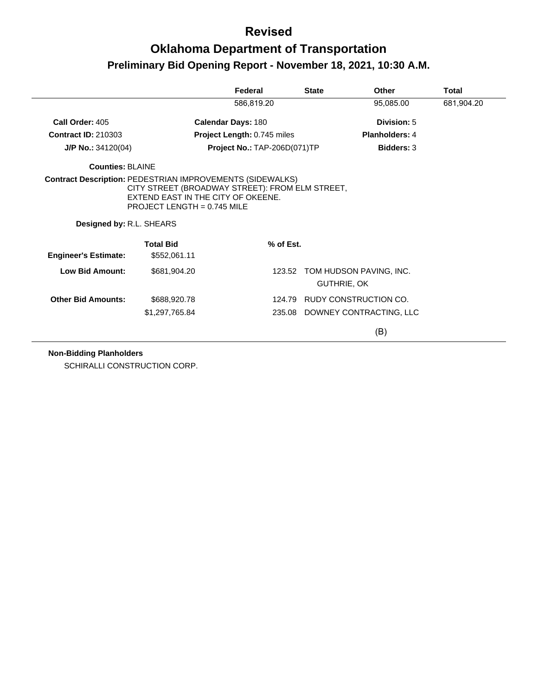## **Oklahoma Department of Transportation Preliminary Bid Opening Report - November 18, 2021, 10:30 A.M.**

|                             |                                                                                                                        | Federal                      | <b>State</b> | Other                                         | <b>Total</b> |
|-----------------------------|------------------------------------------------------------------------------------------------------------------------|------------------------------|--------------|-----------------------------------------------|--------------|
|                             |                                                                                                                        | 586,819.20                   |              | 95,085.00                                     | 681,904.20   |
| Call Order: 405             |                                                                                                                        | <b>Calendar Days: 180</b>    |              | Division: 5                                   |              |
| <b>Contract ID: 210303</b>  |                                                                                                                        | Project Length: 0.745 miles  |              | <b>Planholders: 4</b>                         |              |
| $J/P$ No.: 34120(04)        |                                                                                                                        | Project No.: TAP-206D(071)TP |              | <b>Bidders: 3</b>                             |              |
| <b>Counties: BLAINE</b>     |                                                                                                                        |                              |              |                                               |              |
| Designed by: R.L. SHEARS    | CITY STREET (BROADWAY STREET): FROM ELM STREET,<br>EXTEND EAST IN THE CITY OF OKEENE.<br>PROJECT LENGTH = $0.745$ MILE |                              |              |                                               |              |
| <b>Engineer's Estimate:</b> | <b>Total Bid</b><br>\$552,061.11                                                                                       | % of Est.                    |              |                                               |              |
| <b>Low Bid Amount:</b>      | \$681,904.20                                                                                                           |                              |              | 123.52 TOM HUDSON PAVING, INC.<br>GUTHRIE, OK |              |
| <b>Other Bid Amounts:</b>   | \$688,920.78                                                                                                           | 124.79                       |              | RUDY CONSTRUCTION CO.                         |              |
|                             | \$1,297,765.84                                                                                                         |                              |              | 235.08 DOWNEY CONTRACTING, LLC                |              |
|                             |                                                                                                                        |                              |              | (B)                                           |              |

#### **Non-Bidding Planholders**

SCHIRALLI CONSTRUCTION CORP.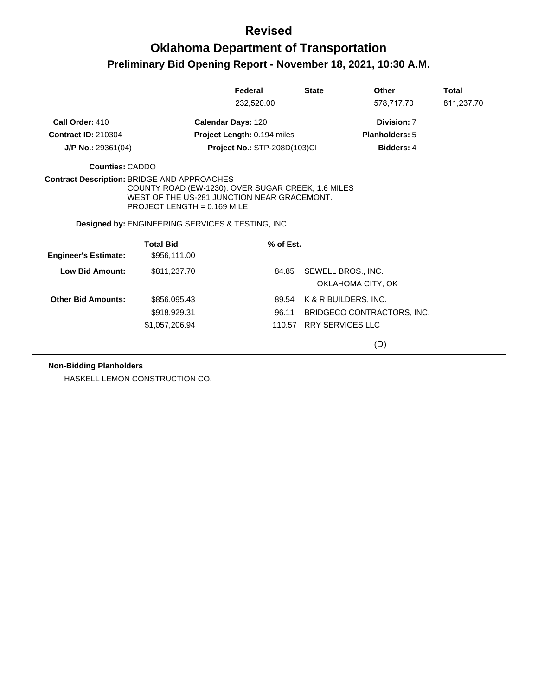# **Oklahoma Department of Transportation Preliminary Bid Opening Report - November 18, 2021, 10:30 A.M.**

|                                                    |                                                                                                                                                                                                    | Federal                             |           | <b>State</b> | Other                                   | Total      |
|----------------------------------------------------|----------------------------------------------------------------------------------------------------------------------------------------------------------------------------------------------------|-------------------------------------|-----------|--------------|-----------------------------------------|------------|
|                                                    |                                                                                                                                                                                                    | 232,520.00                          |           |              | 578.717.70                              | 811,237.70 |
| Call Order: 410                                    |                                                                                                                                                                                                    | <b>Calendar Days: 120</b>           |           |              | Division: 7                             |            |
| <b>Contract ID: 210304</b>                         |                                                                                                                                                                                                    | Project Length: 0.194 miles         |           |              | <b>Planholders: 5</b>                   |            |
| $J/P$ No.: 29361(04)                               |                                                                                                                                                                                                    | <b>Project No.: STP-208D(103)CI</b> |           |              | <b>Bidders: 4</b>                       |            |
| <b>Counties: CADDO</b>                             |                                                                                                                                                                                                    |                                     |           |              |                                         |            |
| <b>Contract Description: BRIDGE AND APPROACHES</b> | COUNTY ROAD (EW-1230): OVER SUGAR CREEK, 1.6 MILES<br>WEST OF THE US-281 JUNCTION NEAR GRACEMONT.<br>PROJECT LENGTH = $0.169$ MILE<br><b>Designed by: ENGINEERING SERVICES &amp; TESTING, INC.</b> |                                     |           |              |                                         |            |
| <b>Engineer's Estimate:</b>                        | <b>Total Bid</b><br>\$956,111.00                                                                                                                                                                   |                                     | % of Est. |              |                                         |            |
| <b>Low Bid Amount:</b>                             | \$811,237.70                                                                                                                                                                                       |                                     | 84.85     |              | SEWELL BROS., INC.<br>OKLAHOMA CITY, OK |            |
| <b>Other Bid Amounts:</b>                          | \$856,095.43                                                                                                                                                                                       |                                     | 89.54     |              | K & R BUILDERS, INC.                    |            |
|                                                    | \$918,929.31                                                                                                                                                                                       |                                     | 96.11     |              | BRIDGECO CONTRACTORS, INC.              |            |
|                                                    | \$1,057,206.94                                                                                                                                                                                     |                                     |           |              | 110.57 RRY SERVICES LLC                 |            |
|                                                    |                                                                                                                                                                                                    |                                     |           |              | (D)                                     |            |

**Non-Bidding Planholders**

HASKELL LEMON CONSTRUCTION CO.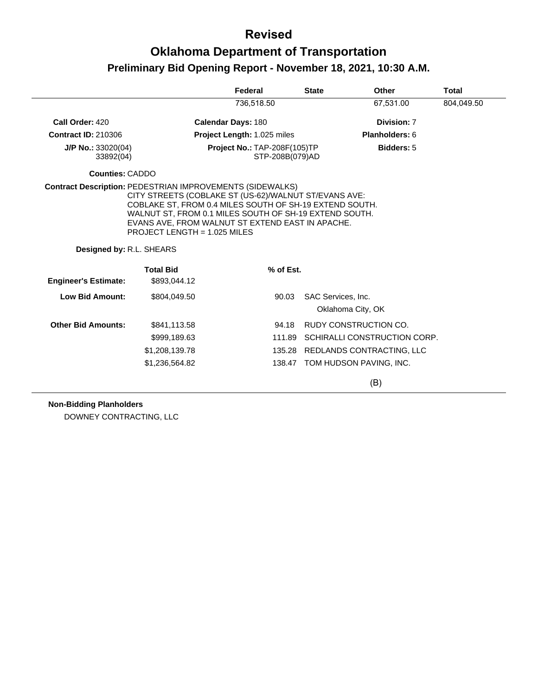# **Oklahoma Department of Transportation Preliminary Bid Opening Report - November 18, 2021, 10:30 A.M.**

|                                   |                                                                                    | Federal                                         | <b>State</b> | <b>Other</b>                            | <b>Total</b> |
|-----------------------------------|------------------------------------------------------------------------------------|-------------------------------------------------|--------------|-----------------------------------------|--------------|
|                                   |                                                                                    | 736,518.50                                      |              | 67,531.00                               | 804,049.50   |
| Call Order: 420                   |                                                                                    | <b>Calendar Days: 180</b>                       |              | Division: 7                             |              |
| <b>Contract ID: 210306</b>        |                                                                                    | Project Length: 1.025 miles                     |              | Planholders: 6                          |              |
| $J/P$ No.: 33020(04)<br>33892(04) |                                                                                    | Project No.: TAP-208F(105)TP<br>STP-208B(079)AD |              | <b>Bidders: 5</b>                       |              |
| Counties: CADDO                   |                                                                                    |                                                 |              |                                         |              |
| Designed by: R.L. SHEARS          | EVANS AVE, FROM WALNUT ST EXTEND EAST IN APACHE.<br>PROJECT LENGTH = $1.025$ MILES |                                                 |              |                                         |              |
| <b>Engineer's Estimate:</b>       | <b>Total Bid</b><br>\$893,044.12                                                   | % of Est.                                       |              |                                         |              |
| Low Bid Amount:                   | \$804,049.50                                                                       | 90.03                                           |              | SAC Services, Inc.<br>Oklahoma City, OK |              |
| <b>Other Bid Amounts:</b>         | \$841,113.58                                                                       | 94.18                                           |              | RUDY CONSTRUCTION CO.                   |              |
|                                   | \$999,189.63                                                                       | 111.89                                          |              | SCHIRALLI CONSTRUCTION CORP.            |              |
|                                   | \$1,208,139.78                                                                     |                                                 | 135.28       | REDLANDS CONTRACTING, LLC               |              |
|                                   | \$1,236,564.82                                                                     |                                                 |              | 138.47 TOM HUDSON PAVING, INC.          |              |
|                                   |                                                                                    |                                                 |              | (B)                                     |              |

#### **Non-Bidding Planholders**

DOWNEY CONTRACTING, LLC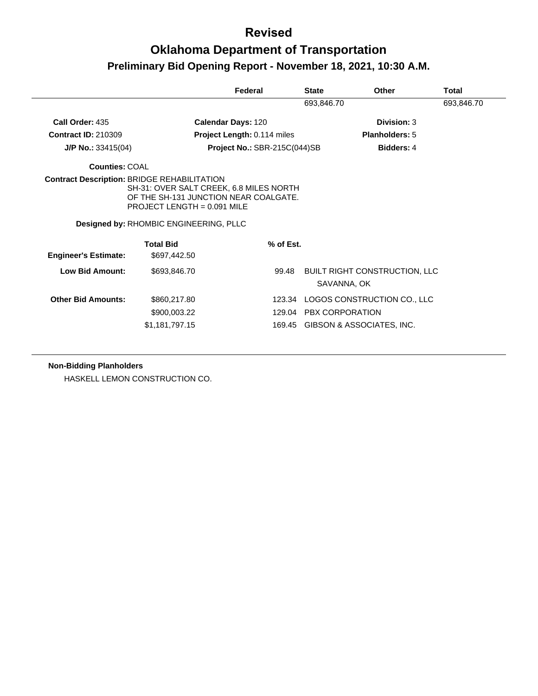## **Oklahoma Department of Transportation Preliminary Bid Opening Report - November 18, 2021, 10:30 A.M.**

|                                                |                                                                                                                   | Federal                      | <b>State</b>           | Other                                               | Total      |
|------------------------------------------------|-------------------------------------------------------------------------------------------------------------------|------------------------------|------------------------|-----------------------------------------------------|------------|
|                                                |                                                                                                                   |                              | 693,846.70             |                                                     | 693,846.70 |
| Call Order: 435                                |                                                                                                                   | Calendar Days: 120           |                        | Division: 3                                         |            |
| <b>Contract ID: 210309</b>                     |                                                                                                                   | Project Length: 0.114 miles  |                        | <b>Planholders: 5</b>                               |            |
| $J/P$ No.: 33415(04)                           |                                                                                                                   | Project No.: SBR-215C(044)SB |                        | <b>Bidders: 4</b>                                   |            |
| Counties: COAL                                 |                                                                                                                   |                              |                        |                                                     |            |
|                                                | SH-31: OVER SALT CREEK, 6.8 MILES NORTH<br>OF THE SH-131 JUNCTION NEAR COALGATE.<br>PROJECT LENGTH = $0.091$ MILE |                              |                        |                                                     |            |
|                                                | Designed by: RHOMBIC ENGINEERING, PLLC                                                                            |                              |                        |                                                     |            |
|                                                | <b>Total Bid</b>                                                                                                  | % of Est.                    |                        |                                                     |            |
| <b>Engineer's Estimate:</b><br>Low Bid Amount: | \$697,442.50<br>\$693,846.70                                                                                      | 99.48                        |                        | <b>BUILT RIGHT CONSTRUCTION, LLC</b><br>SAVANNA, OK |            |
| <b>Other Bid Amounts:</b>                      | \$860,217.80                                                                                                      | 123.34                       |                        | LOGOS CONSTRUCTION CO., LLC                         |            |
|                                                | \$900,003.22                                                                                                      | 129.04                       | <b>PBX CORPORATION</b> |                                                     |            |

**Non-Bidding Planholders**

HASKELL LEMON CONSTRUCTION CO.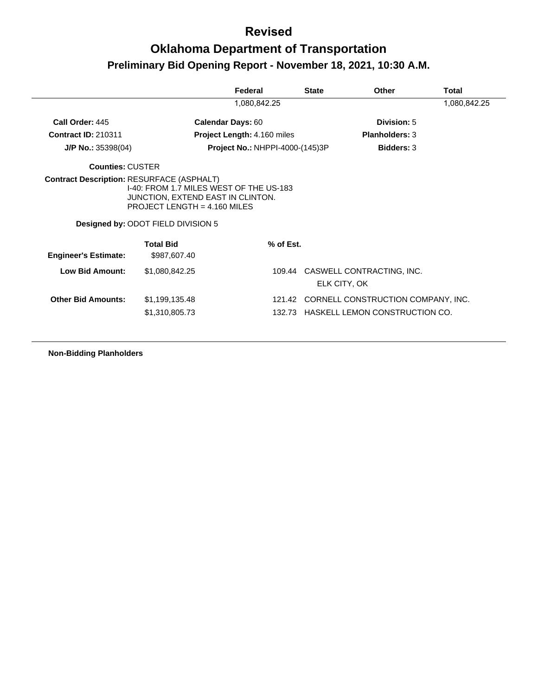# **Oklahoma Department of Transportation Preliminary Bid Opening Report - November 18, 2021, 10:30 A.M.**

|                                                  |                                                                                                                                                             | Federal                                | <b>State</b> | Other                                                                       | <b>Total</b> |
|--------------------------------------------------|-------------------------------------------------------------------------------------------------------------------------------------------------------------|----------------------------------------|--------------|-----------------------------------------------------------------------------|--------------|
|                                                  |                                                                                                                                                             | 1,080,842.25                           |              |                                                                             | 1,080,842.25 |
| Call Order: 445                                  | <b>Calendar Days: 60</b>                                                                                                                                    |                                        |              | Division: 5                                                                 |              |
| <b>Contract ID: 210311</b>                       |                                                                                                                                                             | <b>Project Length: 4.160 miles</b>     |              | <b>Planholders: 3</b>                                                       |              |
| $J/P$ No.: 35398(04)                             |                                                                                                                                                             | <b>Project No.: NHPPI-4000-(145)3P</b> |              | <b>Bidders: 3</b>                                                           |              |
| <b>Counties: CUSTER</b>                          |                                                                                                                                                             |                                        |              |                                                                             |              |
| <b>Contract Description: RESURFACE (ASPHALT)</b> | 1-40: FROM 1.7 MILES WEST OF THE US-183<br>JUNCTION, EXTEND EAST IN CLINTON.<br>PROJECT LENGTH = $4.160$ MILES<br><b>Designed by: ODOT FIELD DIVISION 5</b> |                                        |              |                                                                             |              |
| <b>Engineer's Estimate:</b>                      | <b>Total Bid</b><br>\$987,607.40                                                                                                                            | % of Est.                              |              |                                                                             |              |
| <b>Low Bid Amount:</b>                           | \$1,080,842.25                                                                                                                                              | 109.44                                 |              | CASWELL CONTRACTING, INC.<br>ELK CITY, OK                                   |              |
| <b>Other Bid Amounts:</b>                        | \$1,199,135.48<br>\$1,310,805.73                                                                                                                            | 121.42                                 |              | CORNELL CONSTRUCTION COMPANY, INC.<br>132.73 HASKELL LEMON CONSTRUCTION CO. |              |

**Non-Bidding Planholders**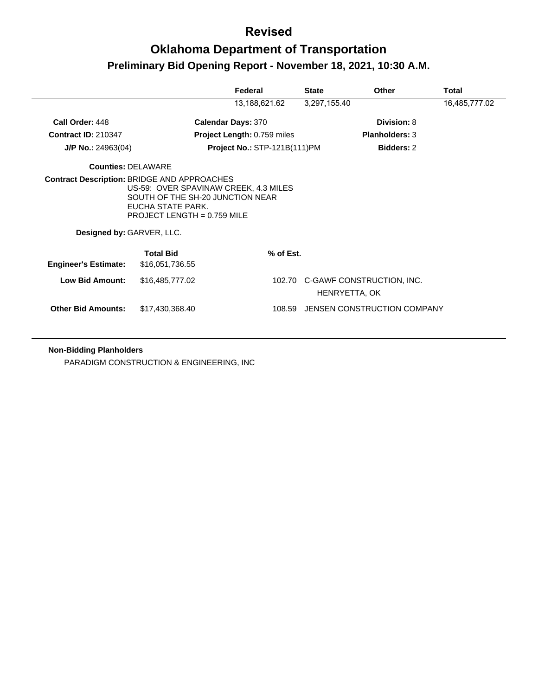## **Oklahoma Department of Transportation Preliminary Bid Opening Report - November 18, 2021, 10:30 A.M.**

|                             |                                                                                                                                                                                       | Federal                             | <b>State</b>  | Other                            | Total         |
|-----------------------------|---------------------------------------------------------------------------------------------------------------------------------------------------------------------------------------|-------------------------------------|---------------|----------------------------------|---------------|
|                             |                                                                                                                                                                                       | 13,188,621.62                       | 3,297,155.40  |                                  | 16,485,777.02 |
| Call Order: 448             |                                                                                                                                                                                       | <b>Calendar Days: 370</b>           |               | Division: 8                      |               |
| <b>Contract ID: 210347</b>  |                                                                                                                                                                                       | <b>Project Length: 0.759 miles</b>  |               | <b>Planholders: 3</b>            |               |
| $J/P$ No.: 24963(04)        |                                                                                                                                                                                       | <b>Project No.: STP-121B(111)PM</b> |               | <b>Bidders: 2</b>                |               |
| <b>Counties: DELAWARE</b>   |                                                                                                                                                                                       |                                     |               |                                  |               |
| Designed by: GARVER, LLC.   | <b>Contract Description: BRIDGE AND APPROACHES</b><br>US-59: OVER SPAVINAW CREEK, 4.3 MILES<br>SOUTH OF THE SH-20 JUNCTION NEAR<br>EUCHA STATE PARK.<br>PROJECT LENGTH = $0.759$ MILE |                                     |               |                                  |               |
| <b>Engineer's Estimate:</b> | <b>Total Bid</b><br>\$16,051,736.55                                                                                                                                                   | % of Est.                           |               |                                  |               |
| <b>Low Bid Amount:</b>      | \$16,485,777.02                                                                                                                                                                       |                                     | HENRYETTA, OK | 102.70 C-GAWF CONSTRUCTION, INC. |               |
| <b>Other Bid Amounts:</b>   | \$17,430,368.40                                                                                                                                                                       | 108.59                              |               | JENSEN CONSTRUCTION COMPANY      |               |

#### **Non-Bidding Planholders**

PARADIGM CONSTRUCTION & ENGINEERING, INC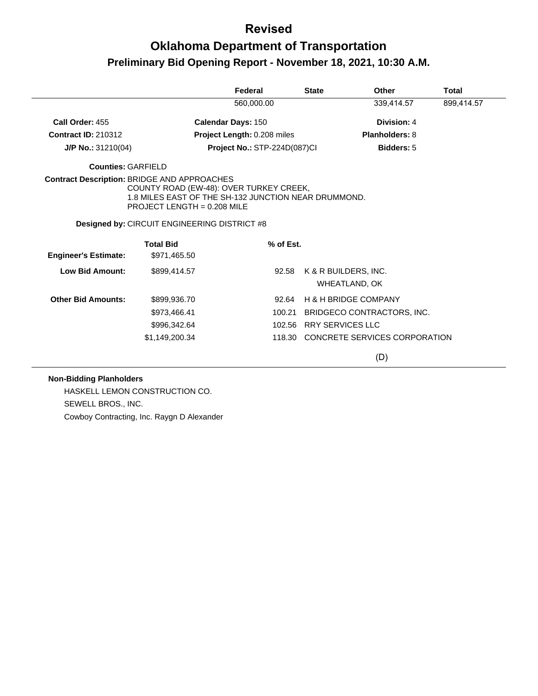# **Oklahoma Department of Transportation Preliminary Bid Opening Report - November 18, 2021, 10:30 A.M.**

|                             |                                                                                                                                  | Federal                             |           | <b>State</b>            | Other                                 | Total      |
|-----------------------------|----------------------------------------------------------------------------------------------------------------------------------|-------------------------------------|-----------|-------------------------|---------------------------------------|------------|
|                             |                                                                                                                                  | 560.000.00                          |           |                         | 339,414.57                            | 899,414.57 |
| Call Order: 455             |                                                                                                                                  | <b>Calendar Days: 150</b>           |           |                         | Division: 4                           |            |
| <b>Contract ID: 210312</b>  |                                                                                                                                  | Project Length: 0.208 miles         |           |                         | <b>Planholders: 8</b>                 |            |
| $J/P$ No.: 31210(04)        |                                                                                                                                  | <b>Project No.: STP-224D(087)CI</b> |           |                         | Bidders: 5                            |            |
| Counties: GARFIFLD          |                                                                                                                                  |                                     |           |                         |                                       |            |
|                             | COUNTY ROAD (EW-48): OVER TURKEY CREEK,<br>1.8 MILES EAST OF THE SH-132 JUNCTION NEAR DRUMMOND.<br>PROJECT LENGTH = $0.208$ MILE |                                     |           |                         |                                       |            |
|                             | <b>Designed by: CIRCUIT ENGINEERING DISTRICT #8</b>                                                                              |                                     |           |                         |                                       |            |
| <b>Engineer's Estimate:</b> | <b>Total Bid</b><br>\$971,465.50                                                                                                 |                                     | % of Est. |                         |                                       |            |
| Low Bid Amount:             | \$899,414.57                                                                                                                     |                                     | 92.58     |                         | K & R BUILDERS, INC.<br>WHEATLAND, OK |            |
| <b>Other Bid Amounts:</b>   | \$899,936.70                                                                                                                     |                                     | 92.64     |                         | <b>H &amp; H BRIDGE COMPANY</b>       |            |
|                             | \$973,466.41                                                                                                                     |                                     | 100.21    |                         | BRIDGECO CONTRACTORS, INC.            |            |
|                             | \$996,342.64                                                                                                                     |                                     |           | 102.56 RRY SERVICES LLC |                                       |            |
|                             | \$1,149,200.34                                                                                                                   |                                     |           |                         | 118.30 CONCRETE SERVICES CORPORATION  |            |
|                             |                                                                                                                                  |                                     |           |                         | (D)                                   |            |

#### **Non-Bidding Planholders**

HASKELL LEMON CONSTRUCTION CO. SEWELL BROS., INC. Cowboy Contracting, Inc. Raygn D Alexander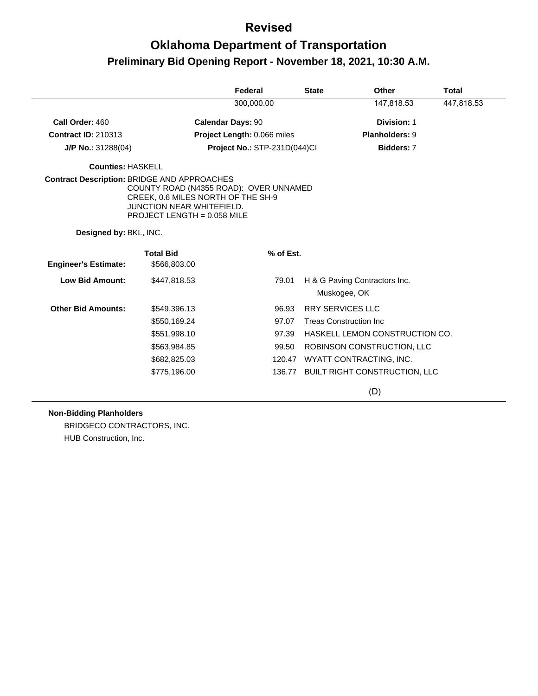# **Oklahoma Department of Transportation Preliminary Bid Opening Report - November 18, 2021, 10:30 A.M.**

|                                                    |                                                                                                                                                 | Federal                      | <b>State</b> | <b>Other</b>                                  | <b>Total</b> |
|----------------------------------------------------|-------------------------------------------------------------------------------------------------------------------------------------------------|------------------------------|--------------|-----------------------------------------------|--------------|
|                                                    |                                                                                                                                                 | 300,000.00                   |              | 147,818.53                                    | 447,818.53   |
| Call Order: 460                                    |                                                                                                                                                 | <b>Calendar Days: 90</b>     |              | Division: 1                                   |              |
| <b>Contract ID: 210313</b>                         |                                                                                                                                                 | Project Length: 0.066 miles  |              | Planholders: 9                                |              |
| $J/P$ No.: 31288(04)                               |                                                                                                                                                 | Project No.: STP-231D(044)Cl |              | Bidders: 7                                    |              |
| <b>Counties: HASKELL</b>                           |                                                                                                                                                 |                              |              |                                               |              |
| <b>Contract Description: BRIDGE AND APPROACHES</b> | COUNTY ROAD (N4355 ROAD): OVER UNNAMED<br>CREEK, 0.6 MILES NORTH OF THE SH-9<br><b>JUNCTION NEAR WHITEFIELD.</b><br>PROJECT LENGTH = 0.058 MILE |                              |              |                                               |              |
| Designed by: BKL, INC.                             |                                                                                                                                                 |                              |              |                                               |              |
|                                                    | <b>Total Bid</b>                                                                                                                                | % of Est.                    |              |                                               |              |
| <b>Engineer's Estimate:</b>                        | \$566,803.00                                                                                                                                    |                              |              |                                               |              |
| <b>Low Bid Amount:</b>                             | \$447,818.53                                                                                                                                    | 79.01                        |              | H & G Paving Contractors Inc.<br>Muskogee, OK |              |
| <b>Other Bid Amounts:</b>                          | \$549,396.13                                                                                                                                    | 96.93                        |              | <b>RRY SERVICES LLC</b>                       |              |
|                                                    | \$550,169.24                                                                                                                                    | 97.07                        |              | <b>Treas Construction Inc</b>                 |              |
|                                                    | \$551,998.10                                                                                                                                    | 97.39                        |              | HASKELL LEMON CONSTRUCTION CO.                |              |
|                                                    | \$563,984.85                                                                                                                                    | 99.50                        |              | ROBINSON CONSTRUCTION, LLC                    |              |
|                                                    | \$682,825.03                                                                                                                                    | 120.47                       |              | WYATT CONTRACTING, INC.                       |              |
|                                                    | \$775,196.00                                                                                                                                    |                              |              | 136.77 BUILT RIGHT CONSTRUCTION, LLC          |              |
|                                                    |                                                                                                                                                 |                              |              | (D)                                           |              |

#### **Non-Bidding Planholders**

BRIDGECO CONTRACTORS, INC. HUB Construction, Inc.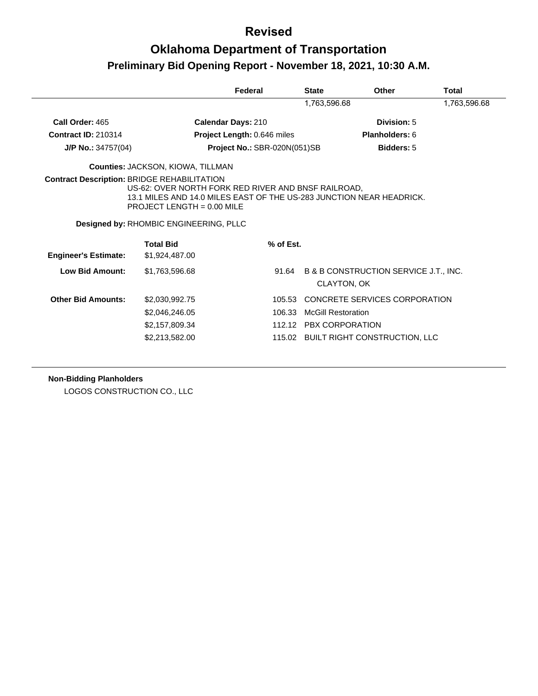## **Oklahoma Department of Transportation Preliminary Bid Opening Report - November 18, 2021, 10:30 A.M.**

|                             |                                                                                                                                                                                                                                                             | Federal                      | <b>State</b>              | <b>Other</b>                                                    | Total        |
|-----------------------------|-------------------------------------------------------------------------------------------------------------------------------------------------------------------------------------------------------------------------------------------------------------|------------------------------|---------------------------|-----------------------------------------------------------------|--------------|
|                             |                                                                                                                                                                                                                                                             |                              | 1,763,596.68              |                                                                 | 1,763,596.68 |
| Call Order: 465             | Calendar Days: 210                                                                                                                                                                                                                                          |                              |                           | Division: 5                                                     |              |
| <b>Contract ID: 210314</b>  |                                                                                                                                                                                                                                                             | Project Length: 0.646 miles  |                           | Planholders: 6                                                  |              |
| $J/P$ No.: 34757(04)        |                                                                                                                                                                                                                                                             | Project No.: SBR-020N(051)SB |                           | <b>Bidders: 5</b>                                               |              |
|                             | Counties: JACKSON, KIOWA, TILLMAN                                                                                                                                                                                                                           |                              |                           |                                                                 |              |
|                             | <b>Contract Description: BRIDGE REHABILITATION</b><br>US-62: OVER NORTH FORK RED RIVER AND BNSF RAILROAD.<br>13.1 MILES AND 14.0 MILES EAST OF THE US-283 JUNCTION NEAR HEADRICK.<br>PROJECT LENGTH = $0.00$ MILE<br>Designed by: RHOMBIC ENGINEERING, PLLC |                              |                           |                                                                 |              |
| <b>Engineer's Estimate:</b> | <b>Total Bid</b><br>\$1,924,487.00                                                                                                                                                                                                                          | % of Est.                    |                           |                                                                 |              |
| <b>Low Bid Amount:</b>      | \$1,763,596.68                                                                                                                                                                                                                                              | 91.64                        |                           | <b>B &amp; B CONSTRUCTION SERVICE J.T., INC.</b><br>CLAYTON, OK |              |
| <b>Other Bid Amounts:</b>   | \$2,030,992.75                                                                                                                                                                                                                                              | 105.53                       |                           | CONCRETE SERVICES CORPORATION                                   |              |
|                             | \$2,046,246.05                                                                                                                                                                                                                                              | 106.33                       | <b>McGill Restoration</b> |                                                                 |              |
|                             | \$2,157,809.34                                                                                                                                                                                                                                              |                              |                           | 112.12 PBX CORPORATION                                          |              |
|                             | \$2,213,582.00                                                                                                                                                                                                                                              |                              |                           | 115.02 BUILT RIGHT CONSTRUCTION, LLC                            |              |

#### **Non-Bidding Planholders**

LOGOS CONSTRUCTION CO., LLC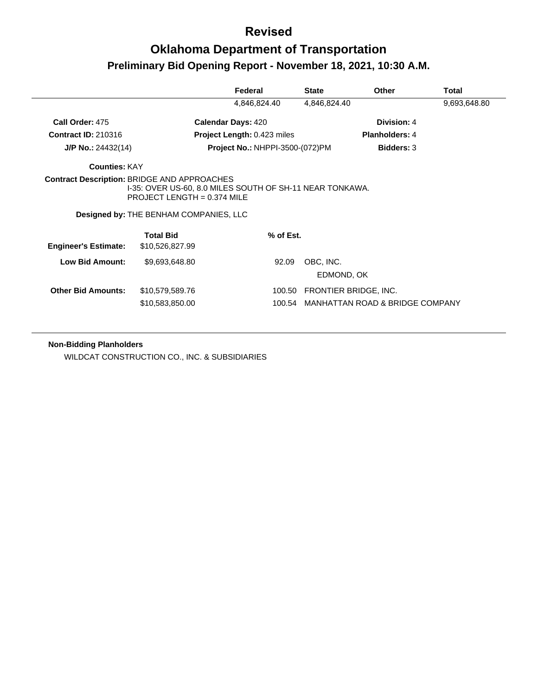## **Oklahoma Department of Transportation Preliminary Bid Opening Report - November 18, 2021, 10:30 A.M.**

| 4,846,824.40<br>4,846,824.40<br>Call Order: 475<br><b>Calendar Days: 420</b><br>Division: 4<br><b>Contract ID: 210316</b><br>Project Length: 0.423 miles<br><b>Planholders: 4</b><br><b>Project No.: NHPPI-3500-(072)PM</b><br><b>Bidders: 3</b><br>$J/P$ No.: 24432(14)<br><b>Counties: KAY</b><br><b>Contract Description: BRIDGE AND APPROACHES</b><br>1-35: OVER US-60, 8.0 MILES SOUTH OF SH-11 NEAR TONKAWA.<br>PROJECT LENGTH = $0.374$ MILE<br>Designed by: THE BENHAM COMPANIES, LLC<br><b>Total Bid</b><br>% of Est.<br><b>Engineer's Estimate:</b><br>\$10,526,827.99<br>Low Bid Amount:<br>\$9,693,648.80<br>92.09<br>OBC, INC.<br>EDMOND, OK<br><b>Other Bid Amounts:</b><br>FRONTIER BRIDGE, INC.<br>\$10,579,589.76<br>100.50 |                 | Federal | <b>State</b> | Other | Total        |
|----------------------------------------------------------------------------------------------------------------------------------------------------------------------------------------------------------------------------------------------------------------------------------------------------------------------------------------------------------------------------------------------------------------------------------------------------------------------------------------------------------------------------------------------------------------------------------------------------------------------------------------------------------------------------------------------------------------------------------------------|-----------------|---------|--------------|-------|--------------|
|                                                                                                                                                                                                                                                                                                                                                                                                                                                                                                                                                                                                                                                                                                                                              |                 |         |              |       | 9,693,648.80 |
|                                                                                                                                                                                                                                                                                                                                                                                                                                                                                                                                                                                                                                                                                                                                              |                 |         |              |       |              |
|                                                                                                                                                                                                                                                                                                                                                                                                                                                                                                                                                                                                                                                                                                                                              |                 |         |              |       |              |
|                                                                                                                                                                                                                                                                                                                                                                                                                                                                                                                                                                                                                                                                                                                                              |                 |         |              |       |              |
|                                                                                                                                                                                                                                                                                                                                                                                                                                                                                                                                                                                                                                                                                                                                              |                 |         |              |       |              |
|                                                                                                                                                                                                                                                                                                                                                                                                                                                                                                                                                                                                                                                                                                                                              |                 |         |              |       |              |
|                                                                                                                                                                                                                                                                                                                                                                                                                                                                                                                                                                                                                                                                                                                                              |                 |         |              |       |              |
|                                                                                                                                                                                                                                                                                                                                                                                                                                                                                                                                                                                                                                                                                                                                              |                 |         |              |       |              |
|                                                                                                                                                                                                                                                                                                                                                                                                                                                                                                                                                                                                                                                                                                                                              |                 |         |              |       |              |
|                                                                                                                                                                                                                                                                                                                                                                                                                                                                                                                                                                                                                                                                                                                                              |                 |         |              |       |              |
|                                                                                                                                                                                                                                                                                                                                                                                                                                                                                                                                                                                                                                                                                                                                              |                 |         |              |       |              |
| MANHATTAN ROAD & BRIDGE COMPANY                                                                                                                                                                                                                                                                                                                                                                                                                                                                                                                                                                                                                                                                                                              | \$10,583,850.00 | 100.54  |              |       |              |

#### **Non-Bidding Planholders**

WILDCAT CONSTRUCTION CO., INC. & SUBSIDIARIES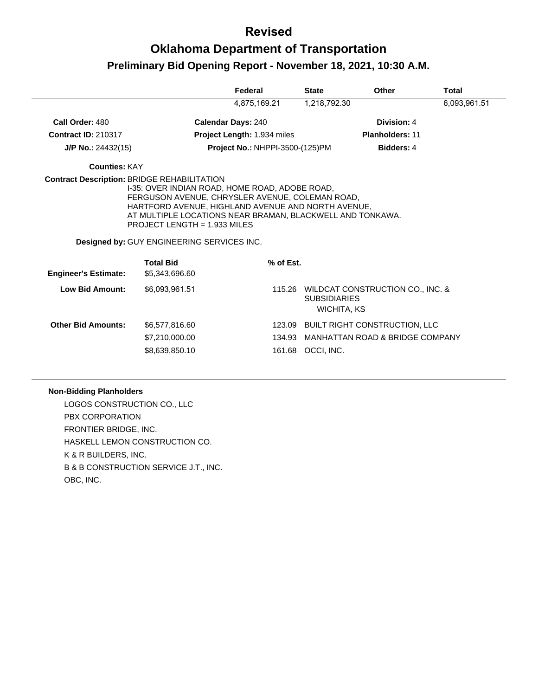## **Oklahoma Department of Transportation Preliminary Bid Opening Report - November 18, 2021, 10:30 A.M.**

|                             |                                                                                                                                                                                                             | Federal                         | <b>State</b>                              | Other                                   | <b>Total</b> |
|-----------------------------|-------------------------------------------------------------------------------------------------------------------------------------------------------------------------------------------------------------|---------------------------------|-------------------------------------------|-----------------------------------------|--------------|
|                             |                                                                                                                                                                                                             | 4,875,169.21                    | 1,218,792.30                              |                                         | 6,093,961.51 |
| Call Order: 480             |                                                                                                                                                                                                             | <b>Calendar Days: 240</b>       |                                           | Division: 4                             |              |
| <b>Contract ID: 210317</b>  |                                                                                                                                                                                                             | Project Length: 1.934 miles     |                                           | <b>Planholders: 11</b>                  |              |
| J/P No.: 24432(15)          |                                                                                                                                                                                                             | Project No.: NHPPI-3500-(125)PM |                                           | Bidders: 4                              |              |
| <b>Counties: KAY</b>        |                                                                                                                                                                                                             |                                 |                                           |                                         |              |
|                             | HARTFORD AVENUE, HIGHLAND AVENUE AND NORTH AVENUE,<br>AT MULTIPLE LOCATIONS NEAR BRAMAN, BLACKWELL AND TONKAWA.<br><b>PROJECT LENGTH = 1.933 MILES</b><br><b>Designed by: GUY ENGINEERING SERVICES INC.</b> |                                 |                                           |                                         |              |
| <b>Engineer's Estimate:</b> | <b>Total Bid</b><br>\$5,343,696.60                                                                                                                                                                          | % of Est.                       |                                           |                                         |              |
| Low Bid Amount:             | \$6,093,961.51                                                                                                                                                                                              |                                 | <b>SUBSIDIARIES</b><br><b>WICHITA, KS</b> | 115.26 WILDCAT CONSTRUCTION CO., INC. & |              |
| <b>Other Bid Amounts:</b>   | \$6,577,816.60                                                                                                                                                                                              |                                 |                                           | 123.09 BUILT RIGHT CONSTRUCTION, LLC    |              |
|                             | \$7,210,000.00                                                                                                                                                                                              |                                 |                                           | 134.93 MANHATTAN ROAD & BRIDGE COMPANY  |              |
|                             | \$8,639,850.10                                                                                                                                                                                              |                                 | 161.68 OCCI, INC.                         |                                         |              |
|                             |                                                                                                                                                                                                             |                                 |                                           |                                         |              |

#### **Non-Bidding Planholders**

LOGOS CONSTRUCTION CO., LLC PBX CORPORATION FRONTIER BRIDGE, INC. HASKELL LEMON CONSTRUCTION CO. K & R BUILDERS, INC. B & B CONSTRUCTION SERVICE J.T., INC. OBC, INC.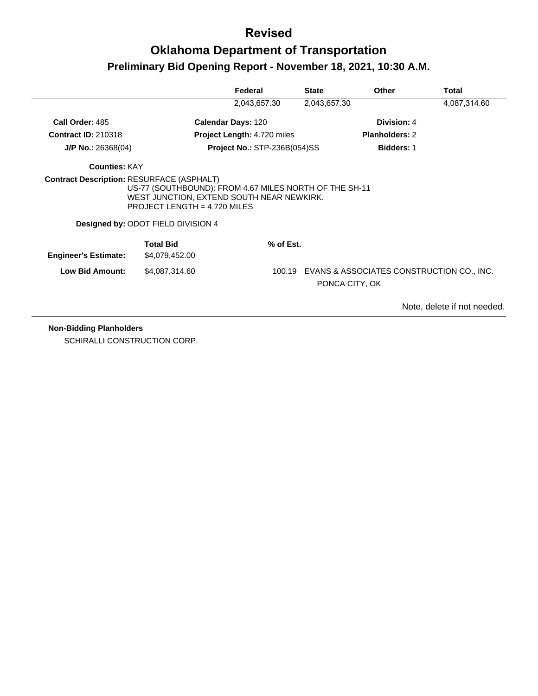# **Oklahoma Department of Transportation Preliminary Bid Opening Report - November 18, 2021, 10:30 A.M.**

|                                                  |                                                                                                                                                                             | Federal                             | <b>State</b>   | <b>Other</b>                              | Total                       |
|--------------------------------------------------|-----------------------------------------------------------------------------------------------------------------------------------------------------------------------------|-------------------------------------|----------------|-------------------------------------------|-----------------------------|
|                                                  |                                                                                                                                                                             | 2,043,657.30                        | 2,043,657.30   |                                           | 4,087,314.60                |
| Call Order: 485                                  |                                                                                                                                                                             | <b>Calendar Days: 120</b>           |                | Division: 4                               |                             |
| <b>Contract ID: 210318</b>                       |                                                                                                                                                                             | <b>Project Length: 4.720 miles</b>  |                | <b>Planholders: 2</b>                     |                             |
| $J/P$ No.: 26368(04)                             |                                                                                                                                                                             | <b>Project No.: STP-236B(054)SS</b> |                | <b>Bidders: 1</b>                         |                             |
| <b>Counties: KAY</b>                             |                                                                                                                                                                             |                                     |                |                                           |                             |
| <b>Contract Description: RESURFACE (ASPHALT)</b> | US-77 (SOUTHBOUND): FROM 4.67 MILES NORTH OF THE SH-11<br>WEST JUNCTION, EXTEND SOUTH NEAR NEWKIRK.<br>PROJECT LENGTH = $4.720$ MILES<br>Designed by: ODOT FIELD DIVISION 4 |                                     |                |                                           |                             |
| <b>Engineer's Estimate:</b>                      | <b>Total Bid</b><br>\$4,079,452.00                                                                                                                                          | % of Est.                           |                |                                           |                             |
| <b>Low Bid Amount:</b>                           | \$4,087,314.60                                                                                                                                                              | 100.19                              | PONCA CITY, OK | EVANS & ASSOCIATES CONSTRUCTION CO., INC. |                             |
|                                                  |                                                                                                                                                                             |                                     |                |                                           | Note, delete if not needed. |

**Non-Bidding Planholders**

SCHIRALLI CONSTRUCTION CORP.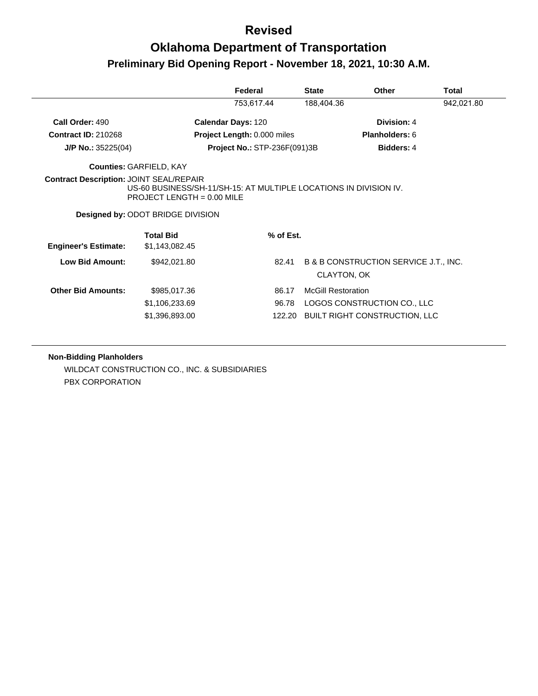# **Oklahoma Department of Transportation Preliminary Bid Opening Report - November 18, 2021, 10:30 A.M.**

|                                                |                                                                                                                                               | Federal                             | <b>State</b> | Other                                 | Total      |
|------------------------------------------------|-----------------------------------------------------------------------------------------------------------------------------------------------|-------------------------------------|--------------|---------------------------------------|------------|
|                                                |                                                                                                                                               | 753,617.44                          | 188,404.36   |                                       | 942,021.80 |
| Call Order: 490                                |                                                                                                                                               | <b>Calendar Days: 120</b>           |              | Division: 4                           |            |
| <b>Contract ID: 210268</b>                     |                                                                                                                                               | Project Length: 0.000 miles         |              | Planholders: 6                        |            |
| $J/P$ No.: 35225(04)                           |                                                                                                                                               | <b>Project No.: STP-236F(091)3B</b> |              | <b>Bidders: 4</b>                     |            |
|                                                | <b>Counties: GARFIELD, KAY</b>                                                                                                                |                                     |              |                                       |            |
| <b>Contract Description: JOINT SEAL/REPAIR</b> |                                                                                                                                               |                                     |              |                                       |            |
|                                                | US-60 BUSINESS/SH-11/SH-15: AT MULTIPLE LOCATIONS IN DIVISION IV.<br>PROJECT LENGTH = $0.00$ MILE<br><b>Designed by: ODOT BRIDGE DIVISION</b> |                                     |              |                                       |            |
| <b>Engineer's Estimate:</b>                    | <b>Total Bid</b><br>\$1,143,082.45                                                                                                            | $%$ of Est.                         |              |                                       |            |
| <b>Low Bid Amount:</b>                         | \$942,021.80                                                                                                                                  | 82.41                               | CLAYTON, OK  | B & B CONSTRUCTION SERVICE J.T., INC. |            |

#### **Non-Bidding Planholders**

WILDCAT CONSTRUCTION CO., INC. & SUBSIDIARIES PBX CORPORATION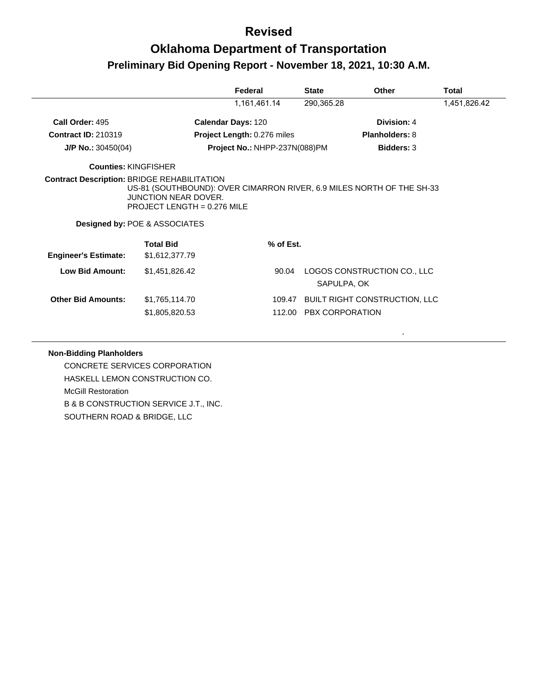## **Oklahoma Department of Transportation Preliminary Bid Opening Report - November 18, 2021, 10:30 A.M.**

|                             |                                                                                                                                                                            | Federal                       | <b>State</b>           | Other                                | Total        |
|-----------------------------|----------------------------------------------------------------------------------------------------------------------------------------------------------------------------|-------------------------------|------------------------|--------------------------------------|--------------|
|                             |                                                                                                                                                                            | 1,161,461.14                  | 290,365.28             |                                      | 1,451,826.42 |
| Call Order: 495             |                                                                                                                                                                            | <b>Calendar Days: 120</b>     |                        | Division: 4                          |              |
| <b>Contract ID: 210319</b>  |                                                                                                                                                                            | Project Length: 0.276 miles   |                        | <b>Planholders: 8</b>                |              |
| $J/P$ No.: 30450(04)        |                                                                                                                                                                            | Project No.: NHPP-237N(088)PM |                        | <b>Bidders: 3</b>                    |              |
| <b>Counties: KINGFISHER</b> |                                                                                                                                                                            |                               |                        |                                      |              |
|                             | US-81 (SOUTHBOUND): OVER CIMARRON RIVER, 6.9 MILES NORTH OF THE SH-33<br>JUNCTION NEAR DOVER.<br>PROJECT LENGTH = $0.276$ MILE<br><b>Designed by: POE &amp; ASSOCIATES</b> |                               |                        |                                      |              |
|                             | <b>Total Bid</b>                                                                                                                                                           | % of Est.                     |                        |                                      |              |
| <b>Engineer's Estimate:</b> | \$1,612,377.79                                                                                                                                                             |                               |                        |                                      |              |
| <b>Low Bid Amount:</b>      | \$1,451,826.42                                                                                                                                                             | 90.04                         | SAPULPA, OK            | LOGOS CONSTRUCTION CO., LLC          |              |
| <b>Other Bid Amounts:</b>   | \$1,765,114.70                                                                                                                                                             |                               |                        | 109.47 BUILT RIGHT CONSTRUCTION, LLC |              |
|                             | \$1,805,820.53                                                                                                                                                             |                               | 112.00 PBX CORPORATION |                                      |              |

.

#### **Non-Bidding Planholders**

CONCRETE SERVICES CORPORATION HASKELL LEMON CONSTRUCTION CO. McGill Restoration B & B CONSTRUCTION SERVICE J.T., INC. SOUTHERN ROAD & BRIDGE, LLC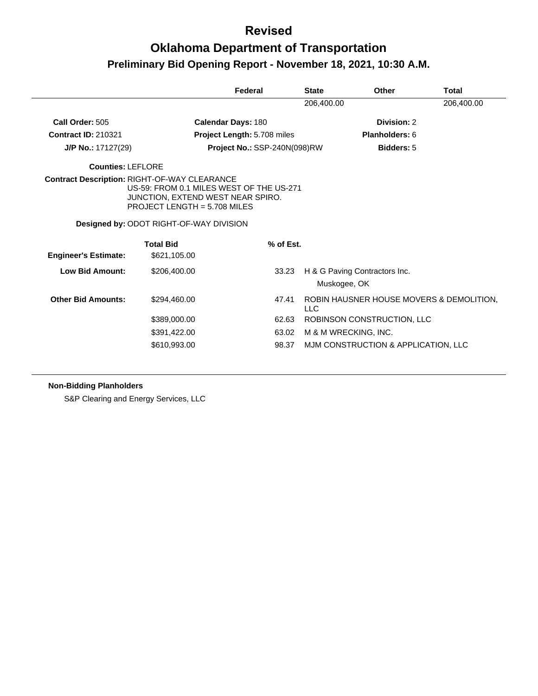# **Oklahoma Department of Transportation Preliminary Bid Opening Report - November 18, 2021, 10:30 A.M.**

|                             |                                                                                                                                                                             | Federal                      | <b>State</b> | Other                                         | <b>Total</b> |
|-----------------------------|-----------------------------------------------------------------------------------------------------------------------------------------------------------------------------|------------------------------|--------------|-----------------------------------------------|--------------|
|                             |                                                                                                                                                                             |                              | 206,400.00   |                                               | 206,400.00   |
| Call Order: 505             |                                                                                                                                                                             | <b>Calendar Days: 180</b>    |              | Division: 2                                   |              |
| <b>Contract ID: 210321</b>  |                                                                                                                                                                             | Project Length: 5.708 miles  |              | <b>Planholders: 6</b>                         |              |
| J/P No.: 17127(29)          |                                                                                                                                                                             | Project No.: SSP-240N(098)RW |              | <b>Bidders: 5</b>                             |              |
| <b>Counties: LEFLORE</b>    |                                                                                                                                                                             |                              |              |                                               |              |
|                             | <b>Contract Description: RIGHT-OF-WAY CLEARANCE</b><br>US-59: FROM 0.1 MILES WEST OF THE US-271<br>JUNCTION, EXTEND WEST NEAR SPIRO.<br><b>PROJECT LENGTH = 5.708 MILES</b> |                              |              |                                               |              |
|                             | <b>Designed by: ODOT RIGHT-OF-WAY DIVISION</b>                                                                                                                              |                              |              |                                               |              |
|                             | <b>Total Bid</b>                                                                                                                                                            | % of Est.                    |              |                                               |              |
| <b>Engineer's Estimate:</b> | \$621,105.00                                                                                                                                                                |                              |              |                                               |              |
| Low Bid Amount:             | \$206,400.00                                                                                                                                                                |                              | 33.23        | H & G Paving Contractors Inc.<br>Muskogee, OK |              |
| <b>Other Bid Amounts:</b>   | \$294,460.00                                                                                                                                                                | 47.41                        | <b>LLC</b>   | ROBIN HAUSNER HOUSE MOVERS & DEMOLITION.      |              |
|                             | \$389,000.00                                                                                                                                                                |                              | 62.63        | ROBINSON CONSTRUCTION, LLC                    |              |
|                             | \$391,422.00                                                                                                                                                                |                              | 63.02        | M & M WRECKING, INC.                          |              |
|                             | \$610,993.00                                                                                                                                                                |                              | 98.37        | MJM CONSTRUCTION & APPLICATION, LLC           |              |
|                             |                                                                                                                                                                             |                              |              |                                               |              |

#### **Non-Bidding Planholders**

S&P Clearing and Energy Services, LLC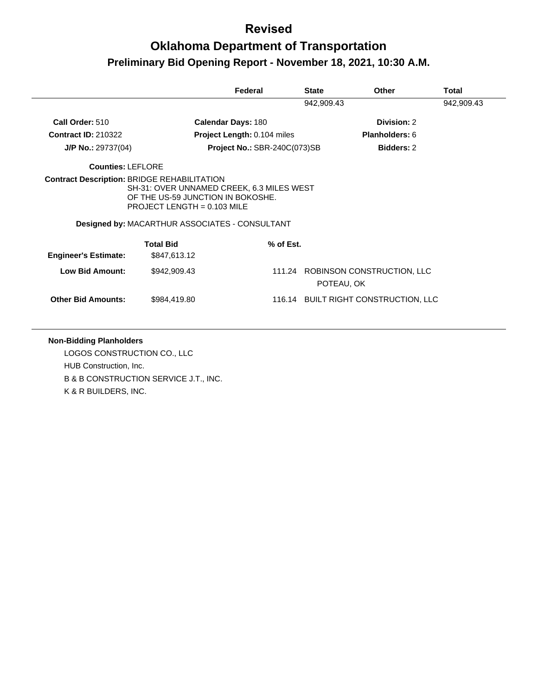# **Oklahoma Department of Transportation Preliminary Bid Opening Report - November 18, 2021, 10:30 A.M.**

|                             |                                                                                                                                                                          | Federal                      | <b>State</b> | Other                             | Total      |
|-----------------------------|--------------------------------------------------------------------------------------------------------------------------------------------------------------------------|------------------------------|--------------|-----------------------------------|------------|
|                             |                                                                                                                                                                          |                              | 942,909.43   |                                   | 942,909.43 |
| Call Order: 510             |                                                                                                                                                                          | <b>Calendar Days: 180</b>    |              | Division: 2                       |            |
| <b>Contract ID: 210322</b>  |                                                                                                                                                                          | Project Length: 0.104 miles  |              | Planholders: 6                    |            |
| $J/P$ No.: 29737(04)        |                                                                                                                                                                          | Project No.: SBR-240C(073)SB |              | <b>Bidders: 2</b>                 |            |
| <b>Counties: LEFLORE</b>    |                                                                                                                                                                          |                              |              |                                   |            |
|                             | SH-31: OVER UNNAMED CREEK, 6.3 MILES WEST<br>OF THE US-59 JUNCTION IN BOKOSHE.<br>PROJECT LENGTH = $0.103$ MILE<br><b>Designed by: MACARTHUR ASSOCIATES - CONSULTANT</b> |                              |              |                                   |            |
|                             | <b>Total Bid</b>                                                                                                                                                         | % of Est.                    |              |                                   |            |
|                             |                                                                                                                                                                          |                              |              |                                   |            |
| <b>Engineer's Estimate:</b> | \$847,613.12                                                                                                                                                             |                              |              |                                   |            |
| <b>Low Bid Amount:</b>      | \$942,909.43                                                                                                                                                             |                              | POTEAU, OK   | 111.24 ROBINSON CONSTRUCTION, LLC |            |

#### **Non-Bidding Planholders**

LOGOS CONSTRUCTION CO., LLC HUB Construction, Inc. B & B CONSTRUCTION SERVICE J.T., INC. K & R BUILDERS, INC.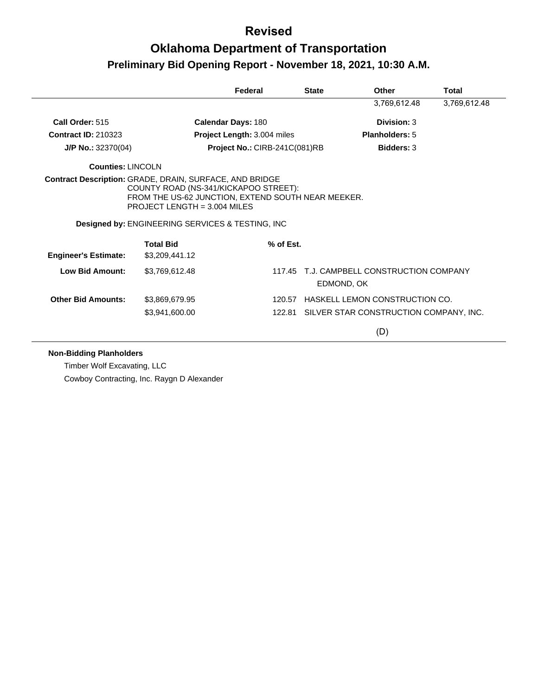## **Oklahoma Department of Transportation Preliminary Bid Opening Report - November 18, 2021, 10:30 A.M.**

|                             |                                                                                                                                                                          | Federal                       | <b>State</b> | Other                                            | Total        |
|-----------------------------|--------------------------------------------------------------------------------------------------------------------------------------------------------------------------|-------------------------------|--------------|--------------------------------------------------|--------------|
|                             |                                                                                                                                                                          |                               |              | 3,769,612.48                                     | 3,769,612.48 |
| Call Order: 515             |                                                                                                                                                                          | <b>Calendar Days: 180</b>     |              | Division: 3                                      |              |
| <b>Contract ID: 210323</b>  |                                                                                                                                                                          | Project Length: 3.004 miles   |              | <b>Planholders: 5</b>                            |              |
| $J/P$ No.: 32370(04)        |                                                                                                                                                                          | Project No.: CIRB-241C(081)RB |              | <b>Bidders: 3</b>                                |              |
| Counties: LINCOLN           |                                                                                                                                                                          |                               |              |                                                  |              |
|                             | FROM THE US-62 JUNCTION, EXTEND SOUTH NEAR MEEKER.<br>PROJECT LENGTH = $3.004$ MILES<br><b>Designed by: ENGINEERING SERVICES &amp; TESTING, INC.</b><br><b>Total Bid</b> | $%$ of Est.                   |              |                                                  |              |
| <b>Engineer's Estimate:</b> | \$3,209,441.12                                                                                                                                                           |                               |              |                                                  |              |
| Low Bid Amount:             | \$3,769,612.48                                                                                                                                                           | 117.45                        |              | T.J. CAMPBELL CONSTRUCTION COMPANY<br>EDMOND, OK |              |
| <b>Other Bid Amounts:</b>   | \$3,869,679.95                                                                                                                                                           | 120.57                        |              | HASKELL LEMON CONSTRUCTION CO.                   |              |
|                             | \$3,941,600.00                                                                                                                                                           |                               |              | 122.81 SILVER STAR CONSTRUCTION COMPANY, INC.    |              |
|                             |                                                                                                                                                                          |                               |              | (D)                                              |              |

#### **Non-Bidding Planholders**

Timber Wolf Excavating, LLC Cowboy Contracting, Inc. Raygn D Alexander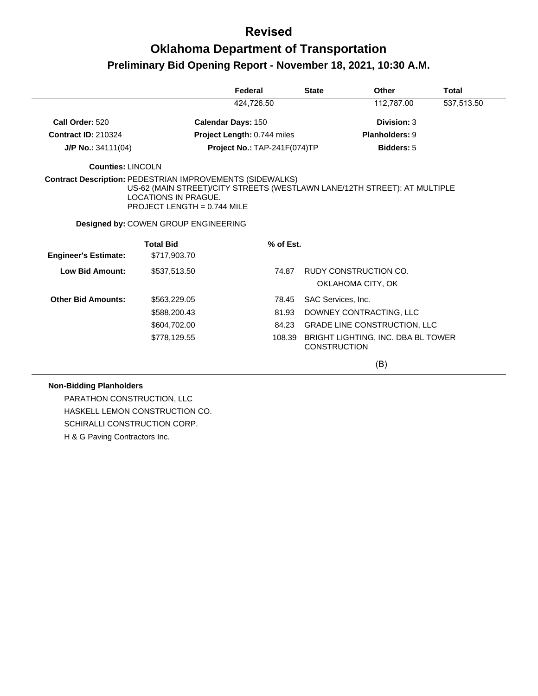## **Oklahoma Department of Transportation Preliminary Bid Opening Report - November 18, 2021, 10:30 A.M.**

|                             |                                                                                                                                                                                                                    | Federal                      | <b>State</b> |                     | Other                               | <b>Total</b> |
|-----------------------------|--------------------------------------------------------------------------------------------------------------------------------------------------------------------------------------------------------------------|------------------------------|--------------|---------------------|-------------------------------------|--------------|
|                             |                                                                                                                                                                                                                    | 424,726.50                   |              |                     | 112,787.00                          | 537,513.50   |
| Call Order: 520             |                                                                                                                                                                                                                    | <b>Calendar Days: 150</b>    |              |                     | Division: 3                         |              |
| <b>Contract ID: 210324</b>  |                                                                                                                                                                                                                    | Project Length: 0.744 miles  |              |                     | <b>Planholders: 9</b>               |              |
| J/P No.: 34111(04)          |                                                                                                                                                                                                                    | Project No.: TAP-241F(074)TP |              |                     | <b>Bidders: 5</b>                   |              |
| <b>Counties: LINCOLN</b>    |                                                                                                                                                                                                                    |                              |              |                     |                                     |              |
|                             | <b>Contract Description: PEDESTRIAN IMPROVEMENTS (SIDEWALKS)</b><br>US-62 (MAIN STREET)/CITY STREETS (WESTLAWN LANE/12TH STREET): AT MULTIPLE<br><b>LOCATIONS IN PRAGUE.</b><br><b>PROJECT LENGTH = 0.744 MILE</b> |                              |              |                     |                                     |              |
|                             | Designed by: COWEN GROUP ENGINEERING                                                                                                                                                                               |                              |              |                     |                                     |              |
|                             | <b>Total Bid</b>                                                                                                                                                                                                   |                              | % of Est.    |                     |                                     |              |
| <b>Engineer's Estimate:</b> | \$717,903.70                                                                                                                                                                                                       |                              |              |                     |                                     |              |
| <b>Low Bid Amount:</b>      | \$537,513.50                                                                                                                                                                                                       |                              | 74.87        |                     | RUDY CONSTRUCTION CO.               |              |
|                             |                                                                                                                                                                                                                    |                              |              | OKLAHOMA CITY, OK   |                                     |              |
| <b>Other Bid Amounts:</b>   | \$563,229.05                                                                                                                                                                                                       |                              | 78.45        | SAC Services, Inc.  |                                     |              |
|                             | \$588,200.43                                                                                                                                                                                                       |                              | 81.93        |                     | DOWNEY CONTRACTING, LLC             |              |
|                             | \$604,702.00                                                                                                                                                                                                       |                              | 84.23        |                     | <b>GRADE LINE CONSTRUCTION, LLC</b> |              |
|                             | \$778,129.55                                                                                                                                                                                                       |                              | 108.39       | <b>CONSTRUCTION</b> | BRIGHT LIGHTING, INC. DBA BL TOWER  |              |
|                             |                                                                                                                                                                                                                    |                              |              |                     | (B)                                 |              |

#### **Non-Bidding Planholders**

PARATHON CONSTRUCTION, LLC HASKELL LEMON CONSTRUCTION CO. SCHIRALLI CONSTRUCTION CORP. H & G Paving Contractors Inc.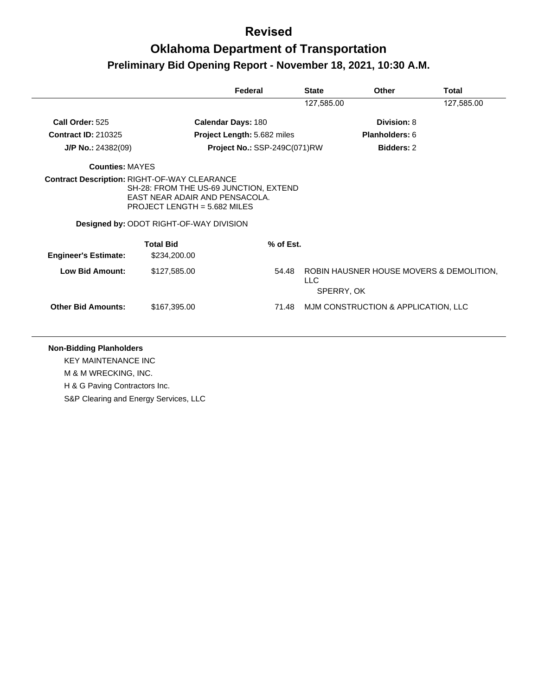## **Oklahoma Department of Transportation Preliminary Bid Opening Report - November 18, 2021, 10:30 A.M.**

|                             |                                                                                                                                                                                                                     | Federal                             | <b>State</b> | <b>Other</b>                                           | Total      |
|-----------------------------|---------------------------------------------------------------------------------------------------------------------------------------------------------------------------------------------------------------------|-------------------------------------|--------------|--------------------------------------------------------|------------|
|                             |                                                                                                                                                                                                                     |                                     | 127,585.00   |                                                        | 127,585.00 |
| Call Order: 525             | <b>Calendar Days: 180</b>                                                                                                                                                                                           |                                     |              | <b>Division: 8</b>                                     |            |
| <b>Contract ID: 210325</b>  |                                                                                                                                                                                                                     | <b>Project Length: 5.682 miles</b>  |              | <b>Planholders: 6</b>                                  |            |
| $J/P$ No.: 24382(09)        |                                                                                                                                                                                                                     | <b>Project No.: SSP-249C(071)RW</b> |              | <b>Bidders: 2</b>                                      |            |
| <b>Counties: MAYES</b>      |                                                                                                                                                                                                                     |                                     |              |                                                        |            |
|                             | <b>Contract Description: RIGHT-OF-WAY CLEARANCE</b><br>SH-28: FROM THE US-69 JUNCTION, EXTEND<br>EAST NEAR ADAIR AND PENSACOLA.<br>PROJECT LENGTH = $5.682$ MILES<br><b>Designed by: ODOT RIGHT-OF-WAY DIVISION</b> |                                     |              |                                                        |            |
| <b>Engineer's Estimate:</b> | <b>Total Bid</b><br>\$234,200.00                                                                                                                                                                                    | % of Est.                           |              |                                                        |            |
| <b>Low Bid Amount:</b>      | \$127,585.00                                                                                                                                                                                                        | 54.48                               | LLC.         | ROBIN HAUSNER HOUSE MOVERS & DEMOLITION.<br>SPERRY, OK |            |
| <b>Other Bid Amounts:</b>   | \$167,395.00                                                                                                                                                                                                        | 71.48                               |              | MJM CONSTRUCTION & APPLICATION, LLC                    |            |

#### **Non-Bidding Planholders**

KEY MAINTENANCE INC

M & M WRECKING, INC.

H & G Paving Contractors Inc.

S&P Clearing and Energy Services, LLC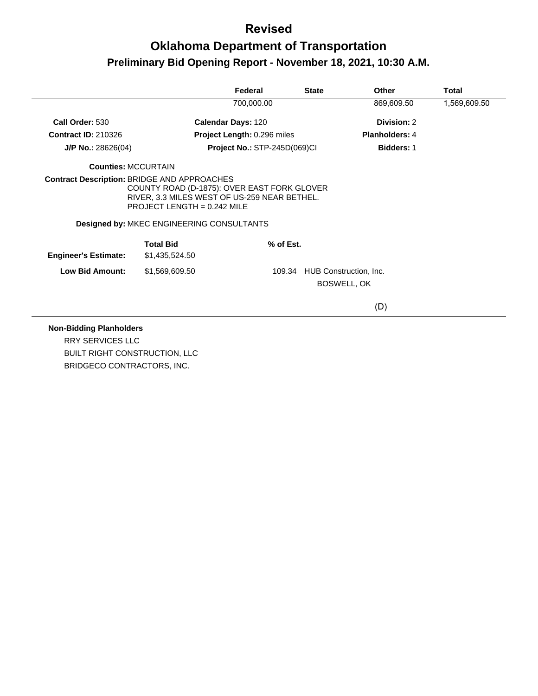# **Oklahoma Department of Transportation Preliminary Bid Opening Report - November 18, 2021, 10:30 A.M.**

|                             |                                                                                                                                                                           | Federal                            | <b>State</b>                  | Other                 | Total        |
|-----------------------------|---------------------------------------------------------------------------------------------------------------------------------------------------------------------------|------------------------------------|-------------------------------|-----------------------|--------------|
|                             |                                                                                                                                                                           | 700,000.00                         |                               | 869,609.50            | 1,569,609.50 |
| Call Order: 530             |                                                                                                                                                                           | <b>Calendar Days: 120</b>          |                               | Division: 2           |              |
| <b>Contract ID: 210326</b>  |                                                                                                                                                                           | <b>Project Length: 0.296 miles</b> |                               | <b>Planholders: 4</b> |              |
| $J/P$ No.: 28626(04)        |                                                                                                                                                                           | Project No.: STP-245D(069)CI       |                               | <b>Bidders: 1</b>     |              |
| <b>Counties: MCCURTAIN</b>  |                                                                                                                                                                           |                                    |                               |                       |              |
|                             | COUNTY ROAD (D-1875): OVER EAST FORK GLOVER<br>RIVER, 3.3 MILES WEST OF US-259 NEAR BETHEL.<br>PROJECT LENGTH = $0.242$ MILE<br>Designed by: MKEC ENGINEERING CONSULTANTS |                                    |                               |                       |              |
| <b>Engineer's Estimate:</b> | <b>Total Bid</b><br>\$1,435,524.50                                                                                                                                        | % of Est.                          |                               |                       |              |
| <b>Low Bid Amount:</b>      | \$1,569,609.50                                                                                                                                                            |                                    | 109.34 HUB Construction, Inc. | BOSWELL, OK           |              |
|                             |                                                                                                                                                                           |                                    |                               | (D)                   |              |

#### **Non-Bidding Planholders**

RRY SERVICES LLC BUILT RIGHT CONSTRUCTION, LLC BRIDGECO CONTRACTORS, INC.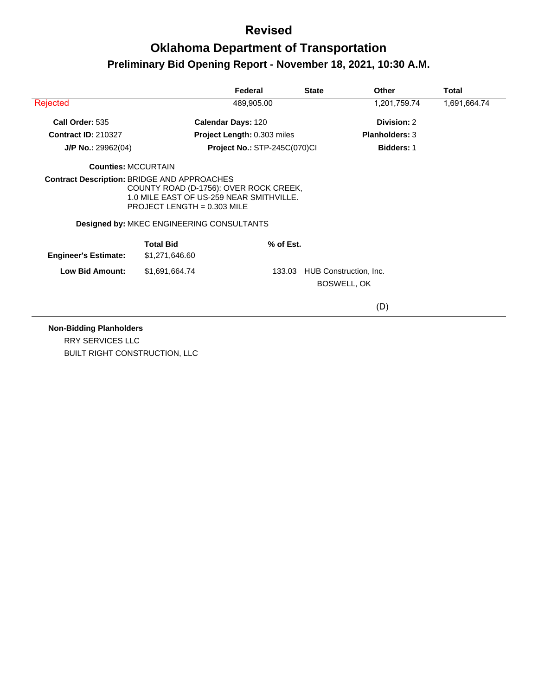# **Oklahoma Department of Transportation Preliminary Bid Opening Report - November 18, 2021, 10:30 A.M.**

|                                                    |                                                                                                                                                                  | Federal                             | <b>State</b> | <b>Other</b>                                 | Total        |
|----------------------------------------------------|------------------------------------------------------------------------------------------------------------------------------------------------------------------|-------------------------------------|--------------|----------------------------------------------|--------------|
| Rejected                                           |                                                                                                                                                                  | 489,905.00                          |              | 1,201,759.74                                 | 1,691,664.74 |
| Call Order: 535                                    |                                                                                                                                                                  | <b>Calendar Days: 120</b>           |              | Division: 2                                  |              |
| <b>Contract ID: 210327</b>                         |                                                                                                                                                                  | Project Length: 0.303 miles         |              | <b>Planholders: 3</b>                        |              |
| $J/P$ No.: 29962(04)                               |                                                                                                                                                                  | <b>Project No.: STP-245C(070)CI</b> |              | <b>Bidders: 1</b>                            |              |
| <b>Counties: MCCURTAIN</b>                         |                                                                                                                                                                  |                                     |              |                                              |              |
| <b>Contract Description: BRIDGE AND APPROACHES</b> | COUNTY ROAD (D-1756): OVER ROCK CREEK,<br>1.0 MILE EAST OF US-259 NEAR SMITHVILLE.<br>PROJECT LENGTH = $0.303$ MILE<br>Designed by: MKEC ENGINEERING CONSULTANTS |                                     |              |                                              |              |
| <b>Engineer's Estimate:</b>                        | <b>Total Bid</b><br>\$1,271,646.60                                                                                                                               | $%$ of Est.                         |              |                                              |              |
| <b>Low Bid Amount:</b>                             | \$1,691,664.74                                                                                                                                                   | 133.03                              |              | HUB Construction, Inc.<br><b>BOSWELL, OK</b> |              |
|                                                    |                                                                                                                                                                  |                                     |              | (D)                                          |              |

**Non-Bidding Planholders**

RRY SERVICES LLC BUILT RIGHT CONSTRUCTION, LLC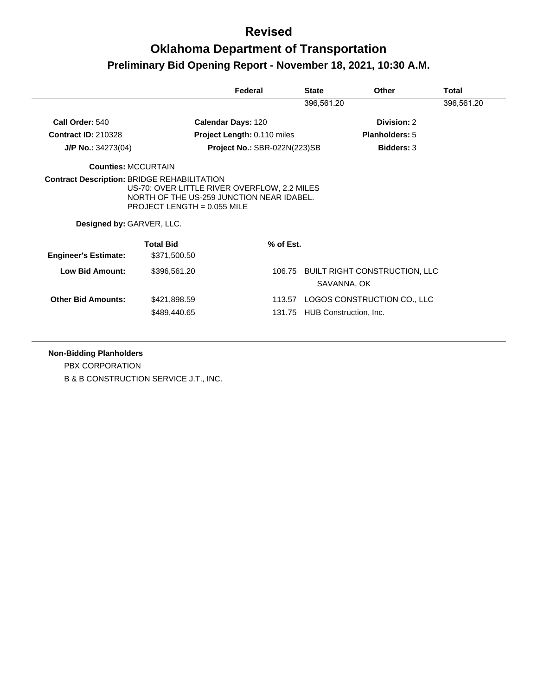## **Oklahoma Department of Transportation Preliminary Bid Opening Report - November 18, 2021, 10:30 A.M.**

|                             |                                                                                                                            | Federal                            | <b>State</b> | <b>Other</b>                                        | Total      |
|-----------------------------|----------------------------------------------------------------------------------------------------------------------------|------------------------------------|--------------|-----------------------------------------------------|------------|
|                             |                                                                                                                            |                                    | 396,561.20   |                                                     | 396,561.20 |
| Call Order: 540             |                                                                                                                            | Calendar Days: 120                 |              | Division: 2                                         |            |
| <b>Contract ID: 210328</b>  |                                                                                                                            | <b>Project Length: 0.110 miles</b> |              | <b>Planholders: 5</b>                               |            |
| $J/P$ No.: 34273(04)        |                                                                                                                            | Project No.: SBR-022N(223)SB       |              | <b>Bidders: 3</b>                                   |            |
| <b>Counties: MCCURTAIN</b>  |                                                                                                                            |                                    |              |                                                     |            |
| Designed by: GARVER, LLC.   | US-70: OVER LITTLE RIVER OVERFLOW, 2.2 MILES<br>NORTH OF THE US-259 JUNCTION NEAR IDABEL.<br>PROJECT LENGTH = $0.055$ MILE |                                    |              |                                                     |            |
| <b>Engineer's Estimate:</b> | <b>Total Bid</b><br>\$371,500.50                                                                                           | % of Est.                          |              |                                                     |            |
| <b>Low Bid Amount:</b>      | \$396,561.20                                                                                                               |                                    |              | 106.75 BUILT RIGHT CONSTRUCTION, LLC<br>SAVANNA, OK |            |
|                             |                                                                                                                            |                                    |              |                                                     |            |

#### **Non-Bidding Planholders**

PBX CORPORATION B & B CONSTRUCTION SERVICE J.T., INC.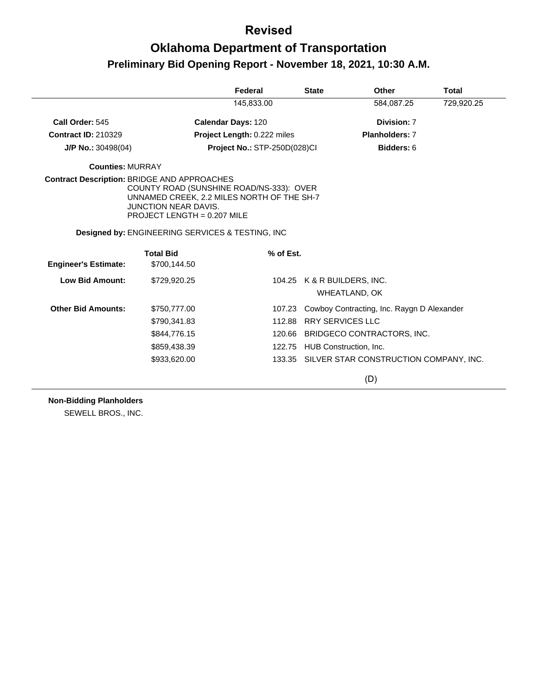# **Oklahoma Department of Transportation Preliminary Bid Opening Report - November 18, 2021, 10:30 A.M.**

|                             |                                                                                                                                                                                                            | Federal                            |           | <b>State</b>                                 | Other                                         | <b>Total</b> |
|-----------------------------|------------------------------------------------------------------------------------------------------------------------------------------------------------------------------------------------------------|------------------------------------|-----------|----------------------------------------------|-----------------------------------------------|--------------|
|                             |                                                                                                                                                                                                            | 145,833.00                         |           |                                              | 584,087.25                                    | 729,920.25   |
| Call Order: 545             |                                                                                                                                                                                                            | <b>Calendar Days: 120</b>          |           |                                              | Division: 7                                   |              |
| <b>Contract ID: 210329</b>  |                                                                                                                                                                                                            | <b>Project Length: 0.222 miles</b> |           |                                              | <b>Planholders: 7</b>                         |              |
| $J/P$ No.: 30498(04)        |                                                                                                                                                                                                            | Project No.: STP-250D(028)Cl       |           |                                              | Bidders: 6                                    |              |
| <b>Counties: MURRAY</b>     |                                                                                                                                                                                                            |                                    |           |                                              |                                               |              |
|                             | COUNTY ROAD (SUNSHINE ROAD/NS-333): OVER<br>UNNAMED CREEK, 2.2 MILES NORTH OF THE SH-7<br><b>JUNCTION NEAR DAVIS.</b><br>PROJECT LENGTH = $0.207$ MILE<br>Designed by: ENGINEERING SERVICES & TESTING, INC |                                    |           |                                              |                                               |              |
|                             |                                                                                                                                                                                                            |                                    |           |                                              |                                               |              |
|                             | <b>Total Bid</b>                                                                                                                                                                                           |                                    | % of Est. |                                              |                                               |              |
| <b>Engineer's Estimate:</b> | \$700,144.50                                                                                                                                                                                               |                                    |           |                                              |                                               |              |
| <b>Low Bid Amount:</b>      | \$729,920.25                                                                                                                                                                                               |                                    |           | 104.25 K & R BUILDERS, INC.<br>WHEATLAND, OK |                                               |              |
| <b>Other Bid Amounts:</b>   | \$750,777.00                                                                                                                                                                                               |                                    | 107.23    |                                              | Cowboy Contracting, Inc. Raygn D Alexander    |              |
|                             | \$790,341.83                                                                                                                                                                                               |                                    | 112.88    | <b>RRY SERVICES LLC</b>                      |                                               |              |
|                             | \$844,776.15                                                                                                                                                                                               |                                    | 120.66    |                                              | BRIDGECO CONTRACTORS, INC.                    |              |
|                             | \$859,438.39                                                                                                                                                                                               |                                    | 122.75    | HUB Construction, Inc.                       |                                               |              |
|                             | \$933,620.00                                                                                                                                                                                               |                                    |           |                                              | 133.35 SILVER STAR CONSTRUCTION COMPANY, INC. |              |
|                             |                                                                                                                                                                                                            |                                    |           |                                              | (D)                                           |              |

**Non-Bidding Planholders**

SEWELL BROS., INC.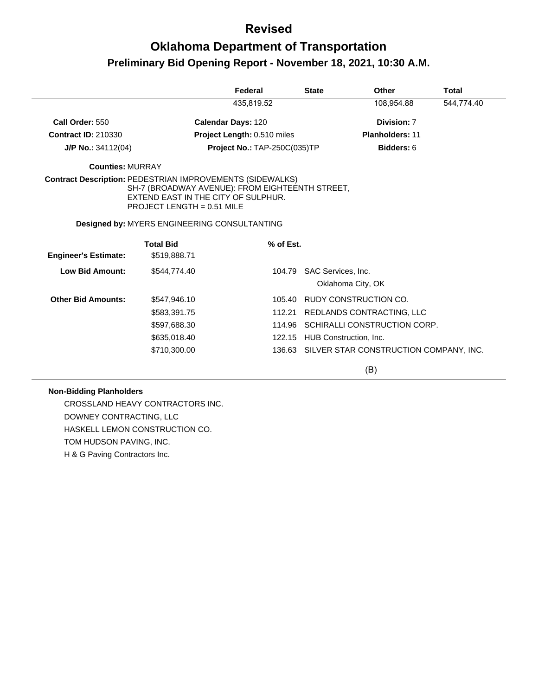# **Oklahoma Department of Transportation Preliminary Bid Opening Report - November 18, 2021, 10:30 A.M.**

|                                                                  |                                                                                                                             | Federal                             | <b>State</b>       | <b>Other</b>                           | Total      |
|------------------------------------------------------------------|-----------------------------------------------------------------------------------------------------------------------------|-------------------------------------|--------------------|----------------------------------------|------------|
|                                                                  |                                                                                                                             | 435,819.52                          |                    | 108,954.88                             | 544,774.40 |
| Call Order: 550                                                  |                                                                                                                             | <b>Calendar Days: 120</b>           |                    | Division: 7                            |            |
| <b>Contract ID: 210330</b>                                       |                                                                                                                             | <b>Project Length: 0.510 miles</b>  |                    | <b>Planholders: 11</b>                 |            |
| $J/P$ No.: 34112(04)                                             |                                                                                                                             | <b>Project No.: TAP-250C(035)TP</b> |                    | Bidders: 6                             |            |
| <b>Counties: MURRAY</b>                                          |                                                                                                                             |                                     |                    |                                        |            |
| <b>Contract Description: PEDESTRIAN IMPROVEMENTS (SIDEWALKS)</b> | SH-7 (BROADWAY AVENUE): FROM EIGHTEENTH STREET,<br>EXTEND EAST IN THE CITY OF SULPHUR.<br><b>PROJECT LENGTH = 0.51 MILE</b> |                                     |                    |                                        |            |
|                                                                  | Designed by: MYERS ENGINEERING CONSULTANTING                                                                                |                                     |                    |                                        |            |
| <b>Engineer's Estimate:</b>                                      | <b>Total Bid</b><br>\$519,888.71                                                                                            | % of Est.                           |                    |                                        |            |
|                                                                  |                                                                                                                             |                                     |                    |                                        |            |
| <b>Low Bid Amount:</b>                                           | \$544,774.40                                                                                                                | 104.79                              | SAC Services, Inc. | Oklahoma City, OK                      |            |
|                                                                  |                                                                                                                             |                                     |                    |                                        |            |
| <b>Other Bid Amounts:</b>                                        | \$547,946.10                                                                                                                | 105.40                              |                    | RUDY CONSTRUCTION CO.                  |            |
|                                                                  | \$583,391.75                                                                                                                | 112.21                              |                    | REDLANDS CONTRACTING, LLC              |            |
|                                                                  | \$597,688.30                                                                                                                | 114.96                              |                    | SCHIRALLI CONSTRUCTION CORP.           |            |
|                                                                  | \$635,018.40                                                                                                                | 122.15                              |                    | HUB Construction, Inc.                 |            |
|                                                                  | \$710,300.00                                                                                                                | 136.63                              |                    | SILVER STAR CONSTRUCTION COMPANY, INC. |            |
|                                                                  |                                                                                                                             |                                     |                    | (B)                                    |            |

#### **Non-Bidding Planholders**

CROSSLAND HEAVY CONTRACTORS INC. DOWNEY CONTRACTING, LLC HASKELL LEMON CONSTRUCTION CO. TOM HUDSON PAVING, INC. H & G Paving Contractors Inc.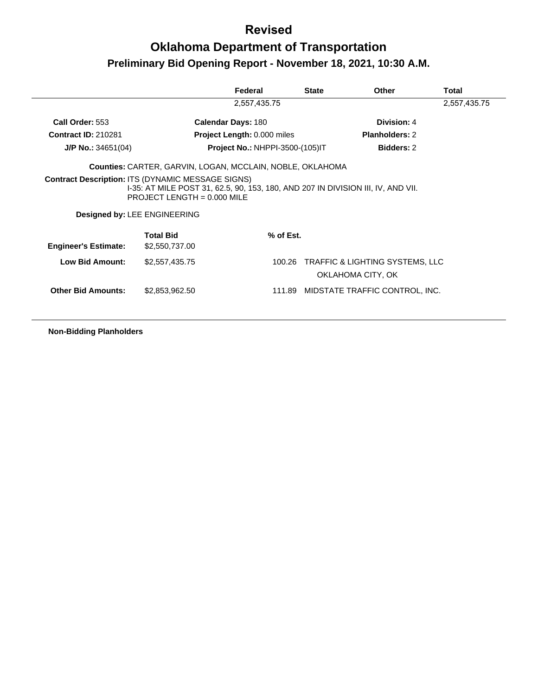# **Oklahoma Department of Transportation Preliminary Bid Opening Report - November 18, 2021, 10:30 A.M.**

|                             |                                                                                                                                                                                                               | Federal                                | <b>State</b> | Other                                                           | Total        |
|-----------------------------|---------------------------------------------------------------------------------------------------------------------------------------------------------------------------------------------------------------|----------------------------------------|--------------|-----------------------------------------------------------------|--------------|
|                             |                                                                                                                                                                                                               | 2,557,435.75                           |              |                                                                 | 2,557,435.75 |
| Call Order: 553             |                                                                                                                                                                                                               | <b>Calendar Days: 180</b>              |              | Division: 4                                                     |              |
| <b>Contract ID: 210281</b>  |                                                                                                                                                                                                               | <b>Project Length: 0.000 miles</b>     |              | <b>Planholders: 2</b>                                           |              |
| $J/P$ No.: 34651(04)        |                                                                                                                                                                                                               | <b>Project No.: NHPPI-3500-(105)IT</b> |              | <b>Bidders: 2</b>                                               |              |
|                             | Counties: CARTER, GARVIN, LOGAN, MCCLAIN, NOBLE, OKLAHOMA                                                                                                                                                     |                                        |              |                                                                 |              |
|                             | <b>Contract Description: ITS (DYNAMIC MESSAGE SIGNS)</b><br>1-35: AT MILE POST 31, 62.5, 90, 153, 180, AND 207 IN DIVISION III, IV, AND VII.<br>PROJECT LENGTH = $0.000$ MILE<br>Designed by: LEE ENGINEERING |                                        |              |                                                                 |              |
| <b>Engineer's Estimate:</b> | <b>Total Bid</b><br>\$2,550,737.00                                                                                                                                                                            | $%$ of Est.                            |              |                                                                 |              |
| <b>Low Bid Amount:</b>      | \$2,557,435.75                                                                                                                                                                                                | 100.26                                 |              | <b>TRAFFIC &amp; LIGHTING SYSTEMS, LLC</b><br>OKLAHOMA CITY, OK |              |
| <b>Other Bid Amounts:</b>   | \$2,853,962.50                                                                                                                                                                                                |                                        |              | 111.89 MIDSTATE TRAFFIC CONTROL, INC.                           |              |
|                             |                                                                                                                                                                                                               |                                        |              |                                                                 |              |

**Non-Bidding Planholders**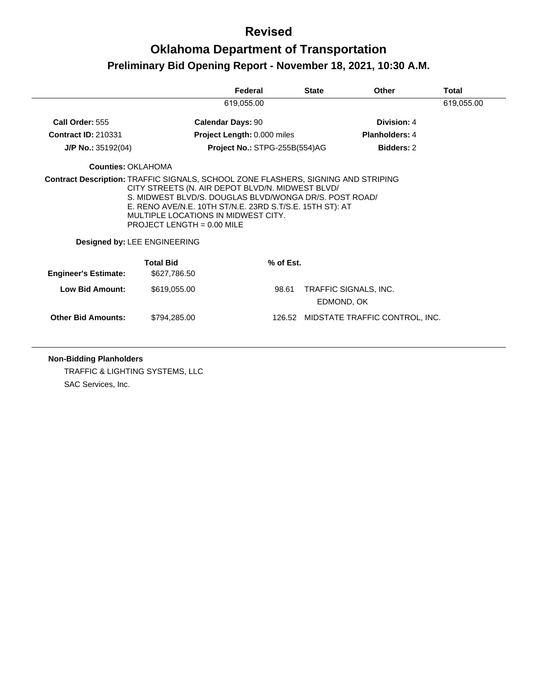## **Oklahoma Department of Transportation Preliminary Bid Opening Report - November 18, 2021, 10:30 A.M.**

|                             |                                                                                                                                                                                                                                                                               | Federal                       | <b>State</b> | <b>Other</b>                          | Total      |
|-----------------------------|-------------------------------------------------------------------------------------------------------------------------------------------------------------------------------------------------------------------------------------------------------------------------------|-------------------------------|--------------|---------------------------------------|------------|
|                             |                                                                                                                                                                                                                                                                               | 619,055.00                    |              |                                       | 619,055.00 |
| Call Order: 555             | <b>Calendar Days: 90</b>                                                                                                                                                                                                                                                      |                               |              | Division: 4                           |            |
| <b>Contract ID: 210331</b>  |                                                                                                                                                                                                                                                                               | Project Length: 0.000 miles   |              | <b>Planholders: 4</b>                 |            |
| J/P No.: 35192(04)          |                                                                                                                                                                                                                                                                               | Project No.: STPG-255B(554)AG |              | <b>Bidders: 2</b>                     |            |
| Counties: OKLAHOMA          |                                                                                                                                                                                                                                                                               |                               |              |                                       |            |
|                             | CITY STREETS (N. AIR DEPOT BLVD/N. MIDWEST BLVD/<br>S. MIDWEST BLVD/S. DOUGLAS BLVD/WONGA DR/S. POST ROAD/<br>E. RENO AVE/N.E. 10TH ST/N.E. 23RD S.T/S.E. 15TH ST): AT<br>MULTIPLE LOCATIONS IN MIDWEST CITY.<br>PROJECT LENGTH = $0.00$ MILE<br>Designed by: LEE ENGINEERING |                               |              |                                       |            |
| <b>Engineer's Estimate:</b> | <b>Total Bid</b><br>\$627,786.50                                                                                                                                                                                                                                              | % of Est.                     |              |                                       |            |
| <b>Low Bid Amount:</b>      | \$619,055.00                                                                                                                                                                                                                                                                  | 98.61                         | EDMOND, OK   | TRAFFIC SIGNALS, INC.                 |            |
| <b>Other Bid Amounts:</b>   | \$794,285.00                                                                                                                                                                                                                                                                  |                               |              | 126.52 MIDSTATE TRAFFIC CONTROL, INC. |            |
|                             |                                                                                                                                                                                                                                                                               |                               |              |                                       |            |

#### **Non-Bidding Planholders**

TRAFFIC & LIGHTING SYSTEMS, LLC SAC Services, Inc.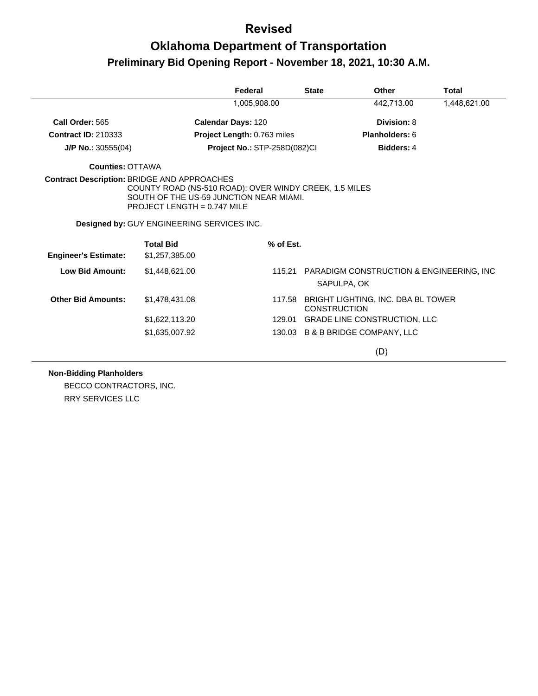# **Oklahoma Department of Transportation Preliminary Bid Opening Report - November 18, 2021, 10:30 A.M.**

|                             |                                                                                                                                                                                          | Federal                      | <b>State</b> | Other                                                               | <b>Total</b> |
|-----------------------------|------------------------------------------------------------------------------------------------------------------------------------------------------------------------------------------|------------------------------|--------------|---------------------------------------------------------------------|--------------|
|                             |                                                                                                                                                                                          | 1,005,908.00                 |              | 442,713.00                                                          | 1,448,621.00 |
| Call Order: 565             |                                                                                                                                                                                          | <b>Calendar Days: 120</b>    |              | Division: 8                                                         |              |
| <b>Contract ID: 210333</b>  |                                                                                                                                                                                          | Project Length: 0.763 miles  |              | Planholders: 6                                                      |              |
| $J/P$ No.: 30555(04)        |                                                                                                                                                                                          | Project No.: STP-258D(082)Cl |              | <b>Bidders: 4</b>                                                   |              |
| <b>Counties: OTTAWA</b>     |                                                                                                                                                                                          |                              |              |                                                                     |              |
|                             | <b>Contract Description: BRIDGE AND APPROACHES</b><br>COUNTY ROAD (NS-510 ROAD): OVER WINDY CREEK, 1.5 MILES<br>SOUTH OF THE US-59 JUNCTION NEAR MIAMI.<br>PROJECT LENGTH = $0.747$ MILE |                              |              |                                                                     |              |
|                             | Designed by: GUY ENGINEERING SERVICES INC.                                                                                                                                               |                              |              |                                                                     |              |
| <b>Engineer's Estimate:</b> | <b>Total Bid</b><br>\$1,257,385.00                                                                                                                                                       |                              | % of Est.    |                                                                     |              |
| <b>Low Bid Amount:</b>      | \$1,448,621.00                                                                                                                                                                           |                              | 115.21       | <b>PARADIGM CONSTRUCTION &amp; ENGINEERING, INC.</b><br>SAPULPA, OK |              |
| <b>Other Bid Amounts:</b>   | \$1,478,431.08                                                                                                                                                                           |                              | 117.58       | BRIGHT LIGHTING, INC. DBA BL TOWER<br><b>CONSTRUCTION</b>           |              |
|                             | \$1,622,113.20                                                                                                                                                                           |                              | 129.01       | <b>GRADE LINE CONSTRUCTION, LLC</b>                                 |              |
|                             | \$1,635,007.92                                                                                                                                                                           |                              |              | 130.03 B & B BRIDGE COMPANY, LLC                                    |              |
|                             |                                                                                                                                                                                          |                              |              | (D)                                                                 |              |

**Non-Bidding Planholders**

BECCO CONTRACTORS, INC. RRY SERVICES LLC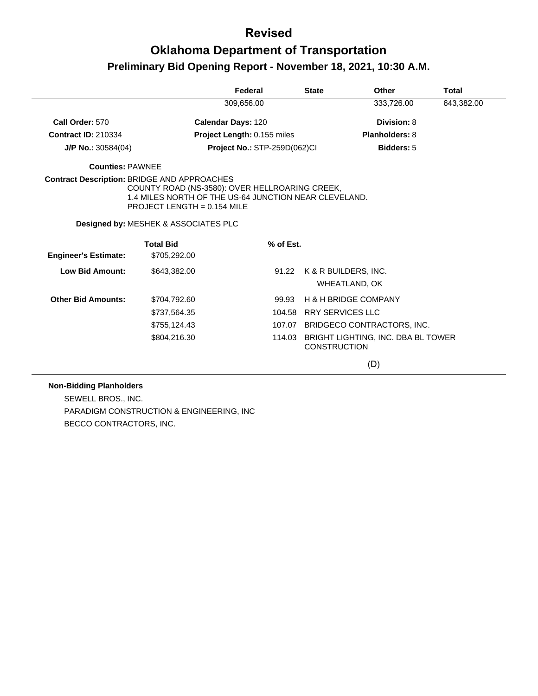## **Oklahoma Department of Transportation Preliminary Bid Opening Report - November 18, 2021, 10:30 A.M.**

|                             |                                                                                                                                                                                              | Federal                             | <b>State</b>                  | <b>Other</b>                          | Total      |
|-----------------------------|----------------------------------------------------------------------------------------------------------------------------------------------------------------------------------------------|-------------------------------------|-------------------------------|---------------------------------------|------------|
|                             |                                                                                                                                                                                              | 309.656.00                          |                               | 333,726.00                            | 643,382.00 |
| Call Order: 570             | <b>Calendar Days: 120</b>                                                                                                                                                                    |                                     |                               | Division: 8                           |            |
| <b>Contract ID: 210334</b>  |                                                                                                                                                                                              | Project Length: 0.155 miles         |                               | Planholders: 8                        |            |
| $J/P$ No.: 30584(04)        |                                                                                                                                                                                              | <b>Project No.: STP-259D(062)CI</b> |                               | <b>Bidders: 5</b>                     |            |
| <b>Counties: PAWNEE</b>     |                                                                                                                                                                                              |                                     |                               |                                       |            |
|                             | Contract Description: BRIDGE AND APPROACHES<br>COUNTY ROAD (NS-3580): OVER HELLROARING CREEK,<br>1.4 MILES NORTH OF THE US-64 JUNCTION NEAR CLEVELAND.<br><b>PROJECT LENGTH = 0.154 MILE</b> |                                     |                               |                                       |            |
|                             | Designed by: MESHEK & ASSOCIATES PLC                                                                                                                                                         |                                     |                               |                                       |            |
| <b>Engineer's Estimate:</b> | <b>Total Bid</b><br>\$705,292.00                                                                                                                                                             | % of Est.                           |                               |                                       |            |
|                             |                                                                                                                                                                                              |                                     |                               |                                       |            |
| <b>Low Bid Amount:</b>      | \$643.382.00                                                                                                                                                                                 |                                     | 91.22                         | K & R BUILDERS, INC.<br>WHEATLAND, OK |            |
| <b>Other Bid Amounts:</b>   | \$704,792.60                                                                                                                                                                                 | 99.93                               |                               | <b>H &amp; H BRIDGE COMPANY</b>       |            |
|                             | \$737,564.35                                                                                                                                                                                 |                                     | 104.58                        | <b>RRY SERVICES LLC</b>               |            |
|                             | \$755,124.43                                                                                                                                                                                 |                                     |                               | 107.07 BRIDGECO CONTRACTORS, INC.     |            |
|                             | \$804,216.30                                                                                                                                                                                 |                                     | 114.03<br><b>CONSTRUCTION</b> | BRIGHT LIGHTING, INC. DBA BL TOWER    |            |
|                             |                                                                                                                                                                                              |                                     |                               | (D)                                   |            |

#### **Non-Bidding Planholders**

SEWELL BROS., INC. PARADIGM CONSTRUCTION & ENGINEERING, INC BECCO CONTRACTORS, INC.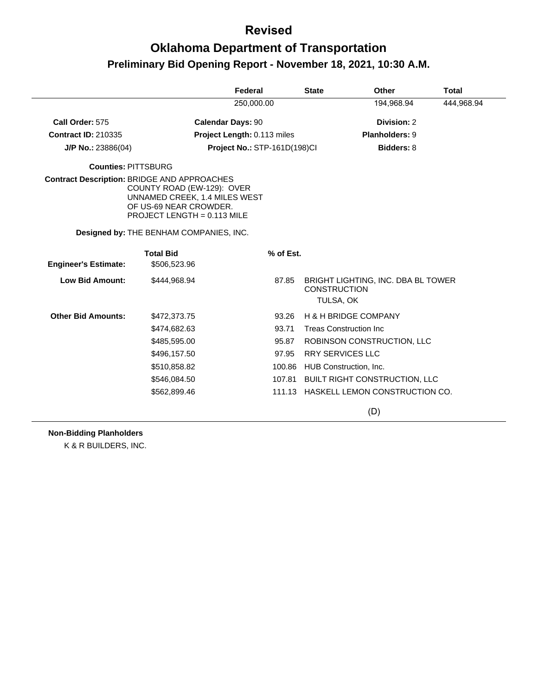# **Oklahoma Department of Transportation Preliminary Bid Opening Report - November 18, 2021, 10:30 A.M.**

|                                                    |                                                                                                                        | Federal                      | <b>State</b>                     | Other                                | Total      |
|----------------------------------------------------|------------------------------------------------------------------------------------------------------------------------|------------------------------|----------------------------------|--------------------------------------|------------|
|                                                    |                                                                                                                        | 250,000.00                   |                                  | 194,968.94                           | 444,968.94 |
| Call Order: 575                                    |                                                                                                                        | <b>Calendar Days: 90</b>     |                                  | Division: 2                          |            |
| <b>Contract ID: 210335</b>                         |                                                                                                                        | Project Length: 0.113 miles  |                                  | Planholders: 9                       |            |
| $J/P$ No.: 23886(04)                               |                                                                                                                        | Project No.: STP-161D(198)Cl |                                  | <b>Bidders: 8</b>                    |            |
| <b>Counties: PITTSBURG</b>                         |                                                                                                                        |                              |                                  |                                      |            |
| <b>Contract Description: BRIDGE AND APPROACHES</b> | COUNTY ROAD (EW-129): OVER<br>UNNAMED CREEK, 1.4 MILES WEST<br>OF US-69 NEAR CROWDER.<br>PROJECT LENGTH = $0.113$ MILE |                              |                                  |                                      |            |
|                                                    | Designed by: THE BENHAM COMPANIES, INC.                                                                                |                              |                                  |                                      |            |
| <b>Engineer's Estimate:</b>                        | <b>Total Bid</b><br>\$506,523.96                                                                                       | % of Est.                    |                                  |                                      |            |
| <b>Low Bid Amount:</b>                             | \$444,968.94                                                                                                           | 87.85                        | <b>CONSTRUCTION</b><br>TULSA, OK | BRIGHT LIGHTING, INC. DBA BL TOWER   |            |
| <b>Other Bid Amounts:</b>                          | \$472,373.75                                                                                                           | 93.26                        |                                  | <b>H &amp; H BRIDGE COMPANY</b>      |            |
|                                                    | \$474,682.63                                                                                                           | 93.71                        |                                  | <b>Treas Construction Inc</b>        |            |
|                                                    | \$485,595.00                                                                                                           | 95.87                        |                                  | ROBINSON CONSTRUCTION, LLC           |            |
|                                                    | \$496,157.50                                                                                                           | 97.95                        |                                  | <b>RRY SERVICES LLC</b>              |            |
|                                                    | \$510,858.82                                                                                                           | 100.86                       |                                  | HUB Construction, Inc.               |            |
|                                                    | \$546,084.50                                                                                                           | 107.81                       |                                  | <b>BUILT RIGHT CONSTRUCTION, LLC</b> |            |
|                                                    | \$562,899.46                                                                                                           | 111.13                       |                                  | HASKELL LEMON CONSTRUCTION CO.       |            |
|                                                    |                                                                                                                        |                              |                                  | (D)                                  |            |

**Non-Bidding Planholders**

K & R BUILDERS, INC.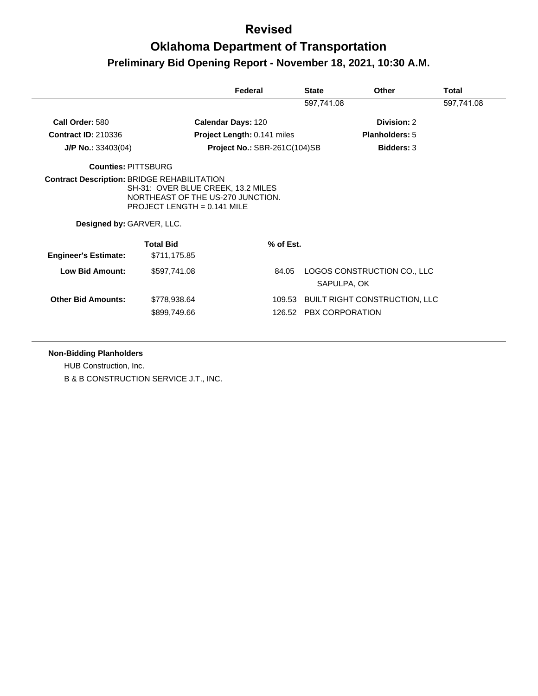# **Oklahoma Department of Transportation Preliminary Bid Opening Report - November 18, 2021, 10:30 A.M.**

|                             |                                                                                                          | Federal                      | <b>State</b> | Other                                | <b>Total</b> |
|-----------------------------|----------------------------------------------------------------------------------------------------------|------------------------------|--------------|--------------------------------------|--------------|
|                             |                                                                                                          |                              | 597,741.08   |                                      | 597,741.08   |
| Call Order: 580             |                                                                                                          | <b>Calendar Days: 120</b>    |              | Division: 2                          |              |
| <b>Contract ID: 210336</b>  |                                                                                                          | Project Length: 0.141 miles  |              | <b>Planholders: 5</b>                |              |
| $J/P$ No.: 33403(04)        |                                                                                                          | Project No.: SBR-261C(104)SB |              | <b>Bidders: 3</b>                    |              |
| <b>Counties: PITTSBURG</b>  |                                                                                                          |                              |              |                                      |              |
| Designed by: GARVER, LLC.   | SH-31: OVER BLUE CREEK, 13.2 MILES<br>NORTHEAST OF THE US-270 JUNCTION.<br>PROJECT LENGTH = $0.141$ MILE |                              |              |                                      |              |
|                             |                                                                                                          |                              |              |                                      |              |
| <b>Engineer's Estimate:</b> | <b>Total Bid</b><br>\$711,175.85                                                                         | % of Est.                    |              |                                      |              |
| <b>Low Bid Amount:</b>      | \$597,741.08                                                                                             | 84.05                        | SAPULPA, OK  | LOGOS CONSTRUCTION CO., LLC          |              |
| <b>Other Bid Amounts:</b>   | \$778,938.64                                                                                             |                              |              | 109.53 BUILT RIGHT CONSTRUCTION, LLC |              |

#### **Non-Bidding Planholders**

HUB Construction, Inc. B & B CONSTRUCTION SERVICE J.T., INC.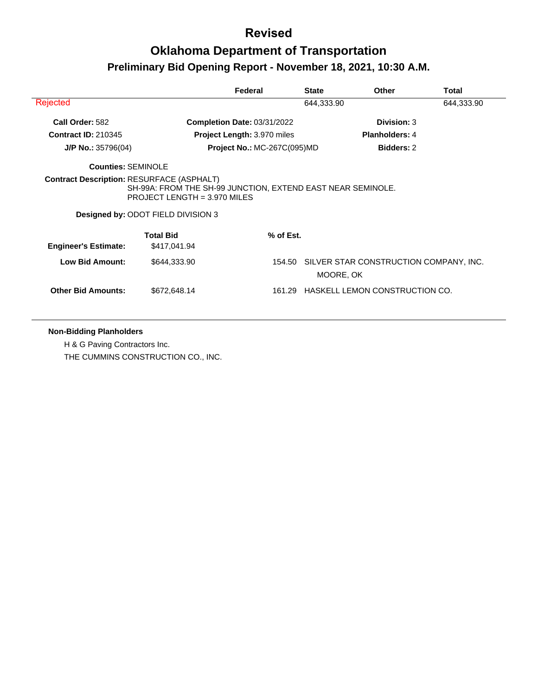# **Oklahoma Department of Transportation Preliminary Bid Opening Report - November 18, 2021, 10:30 A.M.**

|                             |                                                                                                                                                                                              | Federal                            | <b>State</b> | <b>Other</b>                                  | Total      |
|-----------------------------|----------------------------------------------------------------------------------------------------------------------------------------------------------------------------------------------|------------------------------------|--------------|-----------------------------------------------|------------|
| Rejected                    |                                                                                                                                                                                              |                                    | 644,333.90   |                                               | 644,333.90 |
| Call Order: 582             |                                                                                                                                                                                              | Completion Date: 03/31/2022        |              | Division: 3                                   |            |
| <b>Contract ID: 210345</b>  |                                                                                                                                                                                              | Project Length: 3.970 miles        |              | <b>Planholders: 4</b>                         |            |
| $J/P$ No.: 35796(04)        |                                                                                                                                                                                              | <b>Project No.: MC-267C(095)MD</b> |              | <b>Bidders: 2</b>                             |            |
| <b>Counties: SEMINOLE</b>   |                                                                                                                                                                                              |                                    |              |                                               |            |
|                             | <b>Contract Description: RESURFACE (ASPHALT)</b><br>SH-99A: FROM THE SH-99 JUNCTION, EXTEND EAST NEAR SEMINOLE.<br>PROJECT LENGTH = 3.970 MILES<br><b>Designed by: ODOT FIELD DIVISION 3</b> |                                    |              |                                               |            |
| <b>Engineer's Estimate:</b> | <b>Total Bid</b><br>\$417,041.94                                                                                                                                                             | % of Est.                          |              |                                               |            |
| <b>Low Bid Amount:</b>      | \$644,333.90                                                                                                                                                                                 |                                    | MOORE, OK    | 154.50 SILVER STAR CONSTRUCTION COMPANY, INC. |            |
| <b>Other Bid Amounts:</b>   | \$672,648.14                                                                                                                                                                                 | 161.29                             |              | HASKELL LEMON CONSTRUCTION CO.                |            |

#### **Non-Bidding Planholders**

H & G Paving Contractors Inc. THE CUMMINS CONSTRUCTION CO., INC.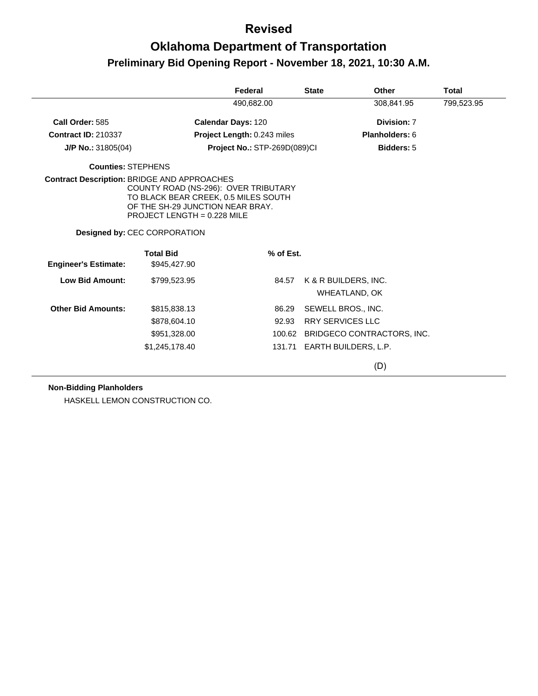# **Oklahoma Department of Transportation Preliminary Bid Opening Report - November 18, 2021, 10:30 A.M.**

|                                                    |                                                                                                                                                 | Federal                      | <b>State</b> | Other                                 | Total      |
|----------------------------------------------------|-------------------------------------------------------------------------------------------------------------------------------------------------|------------------------------|--------------|---------------------------------------|------------|
|                                                    |                                                                                                                                                 | 490,682.00                   |              | 308,841.95                            | 799,523.95 |
| Call Order: 585                                    |                                                                                                                                                 | <b>Calendar Days: 120</b>    |              | Division: 7                           |            |
| <b>Contract ID: 210337</b>                         |                                                                                                                                                 | Project Length: 0.243 miles  |              | Planholders: 6                        |            |
| $J/P$ No.: 31805(04)                               |                                                                                                                                                 | Project No.: STP-269D(089)Cl |              | <b>Bidders: 5</b>                     |            |
| <b>Counties: STEPHENS</b>                          |                                                                                                                                                 |                              |              |                                       |            |
| <b>Contract Description: BRIDGE AND APPROACHES</b> | COUNTY ROAD (NS-296): OVER TRIBUTARY<br>TO BLACK BEAR CREEK, 0.5 MILES SOUTH<br>OF THE SH-29 JUNCTION NEAR BRAY.<br>PROJECT LENGTH = 0.228 MILE |                              |              |                                       |            |
|                                                    | <b>Designed by: CEC CORPORATION</b>                                                                                                             |                              |              |                                       |            |
| <b>Engineer's Estimate:</b>                        | <b>Total Bid</b><br>\$945,427.90                                                                                                                | % of Est.                    |              |                                       |            |
| <b>Low Bid Amount:</b>                             | \$799,523.95                                                                                                                                    | 84.57                        |              | K & R BUILDERS, INC.<br>WHEATLAND, OK |            |
| <b>Other Bid Amounts:</b>                          | \$815,838.13                                                                                                                                    | 86.29                        |              | SEWELL BROS., INC.                    |            |
|                                                    | \$878,604.10                                                                                                                                    | 92.93                        |              | <b>RRY SERVICES LLC</b>               |            |
|                                                    | \$951,328.00                                                                                                                                    |                              |              | 100.62 BRIDGECO CONTRACTORS, INC.     |            |
|                                                    | \$1,245,178.40                                                                                                                                  |                              |              | 131.71 EARTH BUILDERS, L.P.           |            |
|                                                    |                                                                                                                                                 |                              |              | (D)                                   |            |

#### **Non-Bidding Planholders**

HASKELL LEMON CONSTRUCTION CO.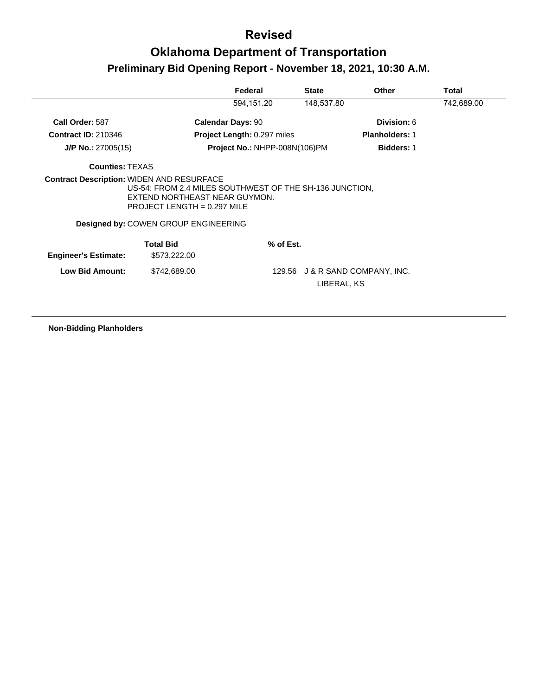# **Oklahoma Department of Transportation Preliminary Bid Opening Report - November 18, 2021, 10:30 A.M.**

|                                                  |                                                                                                                           | Federal                            | <b>State</b> | <b>Other</b>                    | Total      |
|--------------------------------------------------|---------------------------------------------------------------------------------------------------------------------------|------------------------------------|--------------|---------------------------------|------------|
|                                                  |                                                                                                                           | 594,151.20                         | 148,537.80   |                                 | 742,689.00 |
| Call Order: 587                                  |                                                                                                                           | <b>Calendar Days: 90</b>           |              | Division: 6                     |            |
| <b>Contract ID: 210346</b>                       |                                                                                                                           | <b>Project Length: 0.297 miles</b> |              | <b>Planholders: 1</b>           |            |
| $J/P$ No.: 27005(15)                             |                                                                                                                           | Project No.: NHPP-008N(106)PM      |              | <b>Bidders: 1</b>               |            |
| <b>Counties: TEXAS</b>                           |                                                                                                                           |                                    |              |                                 |            |
| <b>Contract Description: WIDEN AND RESURFACE</b> | US-54: FROM 2.4 MILES SOUTHWEST OF THE SH-136 JUNCTION.<br>EXTEND NORTHEAST NEAR GUYMON.<br>PROJECT LENGTH = $0.297$ MILE |                                    |              |                                 |            |
|                                                  | <b>Designed by: COWEN GROUP ENGINEERING</b>                                                                               |                                    |              |                                 |            |
| <b>Engineer's Estimate:</b>                      | <b>Total Bid</b><br>\$573,222.00                                                                                          | % of Est.                          |              |                                 |            |
| <b>Low Bid Amount:</b>                           | \$742,689.00                                                                                                              |                                    | LIBERAL, KS  | 129.56 J & R SAND COMPANY, INC. |            |

**Non-Bidding Planholders**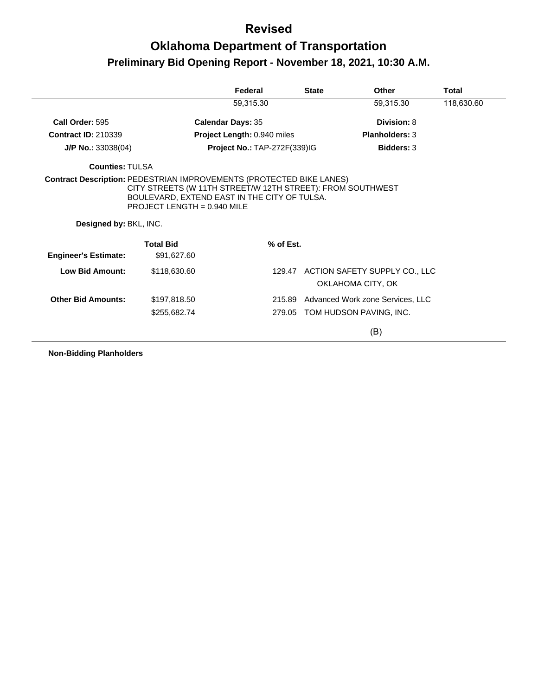# **Oklahoma Department of Transportation Preliminary Bid Opening Report - November 18, 2021, 10:30 A.M.**

|                             |                                                                                                                                             | Federal                      | <b>State</b> | Other                                | <b>Total</b> |
|-----------------------------|---------------------------------------------------------------------------------------------------------------------------------------------|------------------------------|--------------|--------------------------------------|--------------|
|                             |                                                                                                                                             | 59,315.30                    |              | 59,315.30                            | 118,630.60   |
| Call Order: 595             |                                                                                                                                             | <b>Calendar Days: 35</b>     |              | Division: 8                          |              |
| <b>Contract ID: 210339</b>  |                                                                                                                                             | Project Length: 0.940 miles  |              | <b>Planholders: 3</b>                |              |
| J/P No.: 33038(04)          |                                                                                                                                             | Project No.: TAP-272F(339)IG |              | <b>Bidders: 3</b>                    |              |
| <b>Counties: TULSA</b>      |                                                                                                                                             |                              |              |                                      |              |
| Designed by: BKL, INC.      | CITY STREETS (W 11TH STREET/W 12TH STREET): FROM SOUTHWEST<br>BOULEVARD, EXTEND EAST IN THE CITY OF TULSA.<br>PROJECT LENGTH = $0.940$ MILE |                              |              |                                      |              |
|                             | <b>Total Bid</b>                                                                                                                            | % of Est.                    |              |                                      |              |
| <b>Engineer's Estimate:</b> | \$91,627.60                                                                                                                                 |                              |              |                                      |              |
| Low Bid Amount:             | \$118,630,60                                                                                                                                |                              |              | 129.47 ACTION SAFETY SUPPLY CO., LLC |              |
|                             |                                                                                                                                             |                              |              | OKLAHOMA CITY, OK                    |              |
| <b>Other Bid Amounts:</b>   | \$197,818.50                                                                                                                                | 215.89                       |              | Advanced Work zone Services, LLC     |              |
|                             | \$255,682.74                                                                                                                                | 279.05                       |              | TOM HUDSON PAVING, INC.              |              |
|                             |                                                                                                                                             |                              |              | (B)                                  |              |

**Non-Bidding Planholders**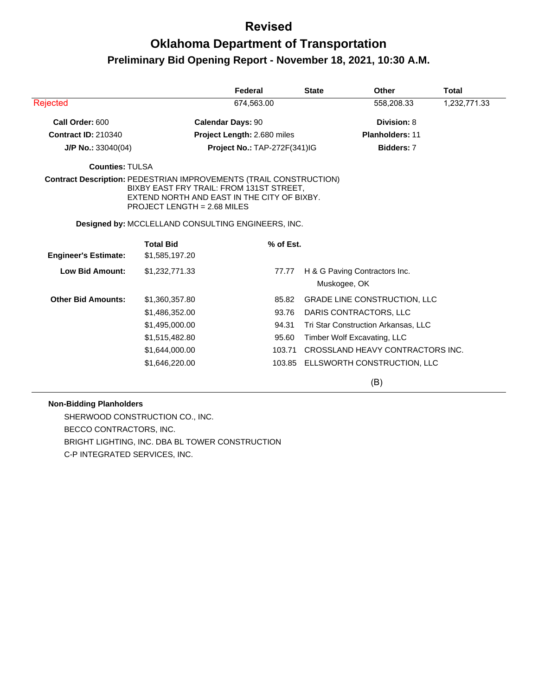# **Oklahoma Department of Transportation Preliminary Bid Opening Report - November 18, 2021, 10:30 A.M.**

|                             |                                                                                                                               | Federal                      |           | <b>State</b>                        | Other                               | Total        |
|-----------------------------|-------------------------------------------------------------------------------------------------------------------------------|------------------------------|-----------|-------------------------------------|-------------------------------------|--------------|
| Rejected                    |                                                                                                                               | 674,563.00                   |           |                                     | 558,208.33                          | 1,232,771.33 |
| Call Order: 600             |                                                                                                                               | <b>Calendar Days: 90</b>     |           | Division: 8                         |                                     |              |
| <b>Contract ID: 210340</b>  |                                                                                                                               | Project Length: 2.680 miles  |           |                                     | <b>Planholders: 11</b>              |              |
| $J/P$ No.: 33040(04)        |                                                                                                                               | Project No.: TAP-272F(341)IG |           |                                     | Bidders: 7                          |              |
| <b>Counties: TULSA</b>      |                                                                                                                               |                              |           |                                     |                                     |              |
|                             | BIXBY EAST FRY TRAIL: FROM 131ST STREET,<br>EXTEND NORTH AND EAST IN THE CITY OF BIXBY.<br><b>PROJECT LENGTH = 2.68 MILES</b> |                              |           |                                     |                                     |              |
|                             | Designed by: MCCLELLAND CONSULTING ENGINEERS, INC.                                                                            |                              |           |                                     |                                     |              |
|                             | <b>Total Bid</b>                                                                                                              |                              | % of Est. |                                     |                                     |              |
| <b>Engineer's Estimate:</b> | \$1,585,197.20                                                                                                                |                              |           |                                     |                                     |              |
| <b>Low Bid Amount:</b>      | \$1,232,771.33                                                                                                                |                              | 77.77     |                                     | H & G Paving Contractors Inc.       |              |
|                             |                                                                                                                               |                              |           | Muskogee, OK                        |                                     |              |
| <b>Other Bid Amounts:</b>   | \$1,360,357.80                                                                                                                |                              | 85.82     |                                     | <b>GRADE LINE CONSTRUCTION, LLC</b> |              |
|                             | \$1,486,352.00                                                                                                                |                              | 93.76     | DARIS CONTRACTORS, LLC              |                                     |              |
|                             | \$1,495,000.00                                                                                                                |                              | 94.31     | Tri Star Construction Arkansas, LLC |                                     |              |
|                             | \$1,515,482.80                                                                                                                |                              | 95.60     | Timber Wolf Excavating, LLC         |                                     |              |
|                             | \$1,644,000.00                                                                                                                |                              | 103.71    |                                     | CROSSLAND HEAVY CONTRACTORS INC.    |              |
|                             | \$1,646,220.00                                                                                                                |                              | 103.85    |                                     | ELLSWORTH CONSTRUCTION, LLC         |              |

(B)

#### **Non-Bidding Planholders**

SHERWOOD CONSTRUCTION CO., INC. BECCO CONTRACTORS, INC. BRIGHT LIGHTING, INC. DBA BL TOWER CONSTRUCTION C-P INTEGRATED SERVICES, INC.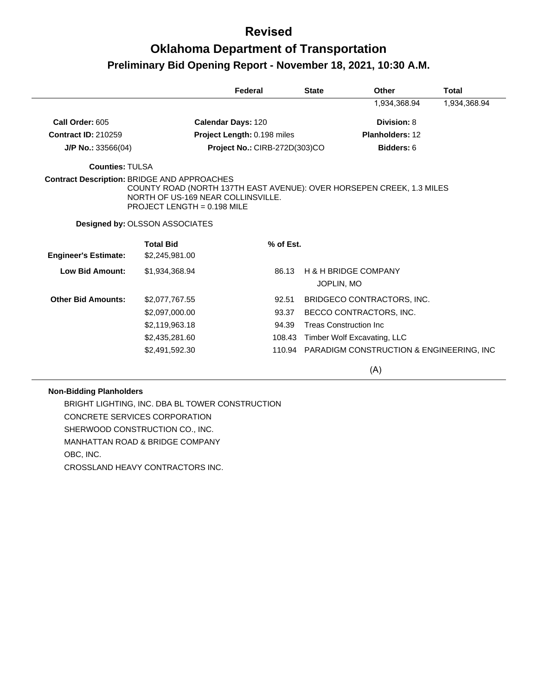## **Oklahoma Department of Transportation Preliminary Bid Opening Report - November 18, 2021, 10:30 A.M.**

|                             |                                                                                                                                                                                                    | Federal<br><b>State</b>       |            | Other                                                | <b>Total</b> |
|-----------------------------|----------------------------------------------------------------------------------------------------------------------------------------------------------------------------------------------------|-------------------------------|------------|------------------------------------------------------|--------------|
|                             |                                                                                                                                                                                                    |                               |            | 1,934,368.94                                         | 1,934,368.94 |
| Call Order: 605             |                                                                                                                                                                                                    | <b>Calendar Days: 120</b>     |            | Division: 8                                          |              |
| <b>Contract ID: 210259</b>  |                                                                                                                                                                                                    | Project Length: 0.198 miles   |            | Planholders: 12                                      |              |
| J/P No.: $33566(04)$        |                                                                                                                                                                                                    | Project No.: CIRB-272D(303)CO |            | Bidders: 6                                           |              |
| <b>Counties: TULSA</b>      |                                                                                                                                                                                                    |                               |            |                                                      |              |
|                             | <b>Contract Description: BRIDGE AND APPROACHES</b><br>COUNTY ROAD (NORTH 137TH EAST AVENUE): OVER HORSEPEN CREEK, 1.3 MILES<br>NORTH OF US-169 NEAR COLLINSVILLE.<br>PROJECT LENGTH = $0.198$ MILE |                               |            |                                                      |              |
|                             | <b>Designed by: OLSSON ASSOCIATES</b>                                                                                                                                                              |                               |            |                                                      |              |
| <b>Engineer's Estimate:</b> | <b>Total Bid</b><br>\$2,245,981.00                                                                                                                                                                 | % of Est.                     |            |                                                      |              |
| <b>Low Bid Amount:</b>      | \$1,934,368.94                                                                                                                                                                                     | 86.13                         |            | <b>H &amp; H BRIDGE COMPANY</b>                      |              |
|                             |                                                                                                                                                                                                    |                               | JOPLIN, MO |                                                      |              |
| <b>Other Bid Amounts:</b>   | \$2,077,767.55                                                                                                                                                                                     | 92.51                         |            | BRIDGECO CONTRACTORS, INC.                           |              |
|                             | \$2,097,000.00                                                                                                                                                                                     | 93.37                         |            | BECCO CONTRACTORS, INC.                              |              |
|                             | \$2,119,963.18                                                                                                                                                                                     | 94.39                         |            | <b>Treas Construction Inc.</b>                       |              |
|                             | \$2,435,281.60                                                                                                                                                                                     | 108.43                        |            | Timber Wolf Excavating, LLC                          |              |
|                             | \$2,491,592.30                                                                                                                                                                                     | 110.94                        |            | <b>PARADIGM CONSTRUCTION &amp; ENGINEERING, INC.</b> |              |
|                             |                                                                                                                                                                                                    |                               |            | (A)                                                  |              |

#### **Non-Bidding Planholders**

BRIGHT LIGHTING, INC. DBA BL TOWER CONSTRUCTION CONCRETE SERVICES CORPORATION SHERWOOD CONSTRUCTION CO., INC. MANHATTAN ROAD & BRIDGE COMPANY OBC, INC. CROSSLAND HEAVY CONTRACTORS INC.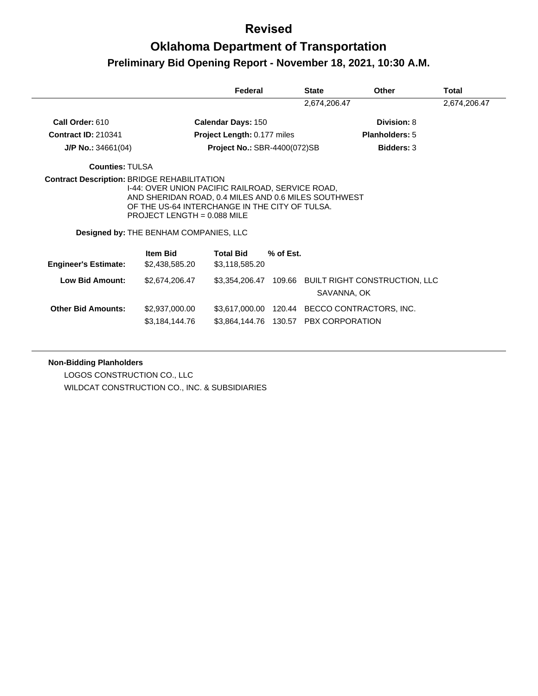# **Oklahoma Department of Transportation Preliminary Bid Opening Report - November 18, 2021, 10:30 A.M.**

|                                        |                                                                                                                                         | Federal                             |           | <b>State</b> | <b>Other</b>                                                       | Total        |
|----------------------------------------|-----------------------------------------------------------------------------------------------------------------------------------------|-------------------------------------|-----------|--------------|--------------------------------------------------------------------|--------------|
|                                        |                                                                                                                                         |                                     |           | 2,674,206.47 |                                                                    | 2,674,206.47 |
| Call Order: 610                        |                                                                                                                                         | <b>Calendar Days: 150</b>           |           |              | Division: 8                                                        |              |
| <b>Contract ID: 210341</b>             |                                                                                                                                         | Project Length: 0.177 miles         |           |              | Planholders: 5                                                     |              |
| $J/P$ No.: 34661(04)                   |                                                                                                                                         | <b>Project No.: SBR-4400(072)SB</b> |           |              | <b>Bidders: 3</b>                                                  |              |
| <b>Counties: TULSA</b>                 |                                                                                                                                         |                                     |           |              |                                                                    |              |
| Designed by: THE BENHAM COMPANIES, LLC | AND SHERIDAN ROAD, 0.4 MILES AND 0.6 MILES SOUTHWEST<br>OF THE US-64 INTERCHANGE IN THE CITY OF TULSA.<br>PROJECT LENGTH = $0.088$ MILE |                                     |           |              |                                                                    |              |
|                                        |                                                                                                                                         |                                     |           |              |                                                                    |              |
| <b>Engineer's Estimate:</b>            | <b>Item Bid</b><br>\$2,438,585.20                                                                                                       | <b>Total Bid</b><br>\$3,118,585.20  | % of Est. |              |                                                                    |              |
| <b>Low Bid Amount:</b>                 | \$2,674,206.47                                                                                                                          |                                     |           |              | \$3,354,206.47 109.66 BUILT RIGHT CONSTRUCTION, LLC<br>SAVANNA, OK |              |
| <b>Other Bid Amounts:</b>              | \$2,937,000.00                                                                                                                          | \$3,617,000.00                      |           |              | 120.44 BECCO CONTRACTORS, INC.                                     |              |

#### **Non-Bidding Planholders**

LOGOS CONSTRUCTION CO., LLC WILDCAT CONSTRUCTION CO., INC. & SUBSIDIARIES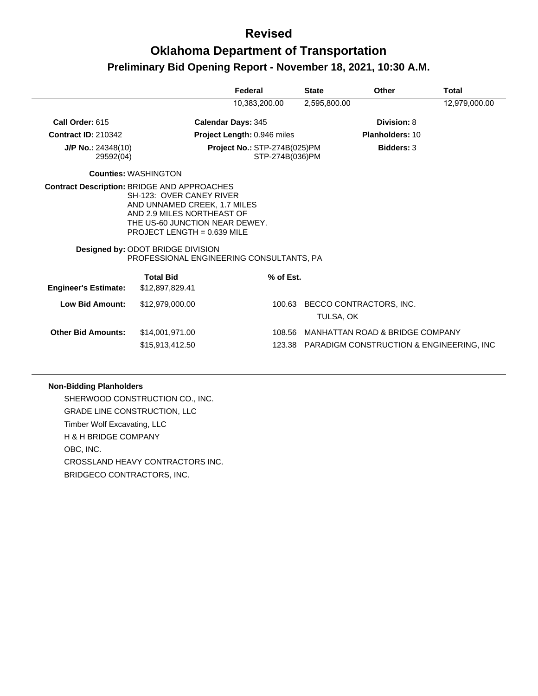# **Oklahoma Department of Transportation Preliminary Bid Opening Report - November 18, 2021, 10:30 A.M.**

|                                                    |                                                                                                                                                                                                                                            | Federal                                                | <b>State</b> | <b>Other</b>                                    | Total         |
|----------------------------------------------------|--------------------------------------------------------------------------------------------------------------------------------------------------------------------------------------------------------------------------------------------|--------------------------------------------------------|--------------|-------------------------------------------------|---------------|
|                                                    |                                                                                                                                                                                                                                            | 10,383,200.00                                          | 2,595,800.00 |                                                 | 12,979,000.00 |
| Call Order: 615                                    |                                                                                                                                                                                                                                            | <b>Calendar Days: 345</b>                              |              | Division: 8                                     |               |
| <b>Contract ID: 210342</b>                         |                                                                                                                                                                                                                                            | Project Length: 0.946 miles                            |              | <b>Planholders: 10</b>                          |               |
| $J/P$ No.: 24348(10)<br>29592(04)                  |                                                                                                                                                                                                                                            | <b>Project No.: STP-274B(025)PM</b><br>STP-274B(036)PM |              | <b>Bidders: 3</b>                               |               |
|                                                    | <b>Counties: WASHINGTON</b>                                                                                                                                                                                                                |                                                        |              |                                                 |               |
| <b>Contract Description: BRIDGE AND APPROACHES</b> | SH-123: OVER CANEY RIVER<br>AND UNNAMED CREEK, 1.7 MILES<br>AND 2.9 MILES NORTHEAST OF<br>THE US-60 JUNCTION NEAR DEWEY.<br>PROJECT LENGTH = $0.639$ MILE<br>Designed by: ODOT BRIDGE DIVISION<br>PROFESSIONAL ENGINEERING CONSULTANTS, PA |                                                        |              |                                                 |               |
|                                                    | <b>Total Bid</b>                                                                                                                                                                                                                           | % of Est.                                              |              |                                                 |               |
| <b>Engineer's Estimate:</b>                        | \$12,897,829.41                                                                                                                                                                                                                            |                                                        |              |                                                 |               |
| <b>Low Bid Amount:</b>                             | \$12,979,000.00                                                                                                                                                                                                                            | 100.63                                                 | TULSA, OK    | BECCO CONTRACTORS, INC.                         |               |
| <b>Other Bid Amounts:</b>                          | \$14,001,971.00                                                                                                                                                                                                                            | 108.56                                                 |              | MANHATTAN ROAD & BRIDGE COMPANY                 |               |
|                                                    | \$15,913,412.50                                                                                                                                                                                                                            |                                                        |              | 123.38 PARADIGM CONSTRUCTION & ENGINEERING, INC |               |

#### **Non-Bidding Planholders**

SHERWOOD CONSTRUCTION CO., INC. GRADE LINE CONSTRUCTION, LLC Timber Wolf Excavating, LLC H & H BRIDGE COMPANY OBC, INC. CROSSLAND HEAVY CONTRACTORS INC. BRIDGECO CONTRACTORS, INC.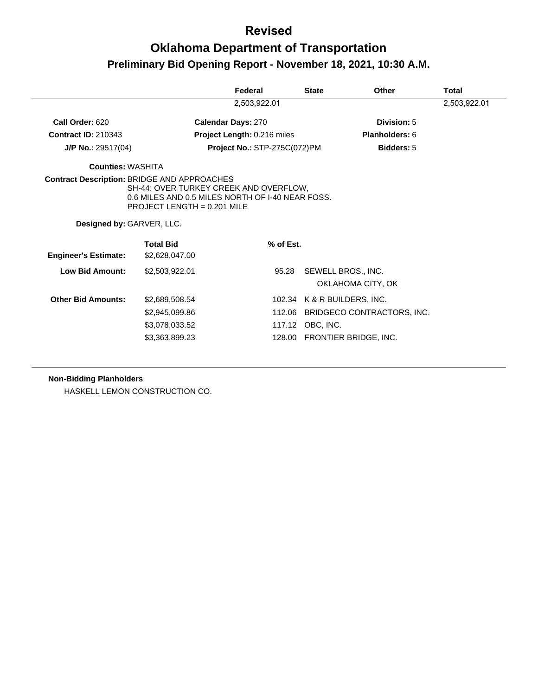# **Oklahoma Department of Transportation Preliminary Bid Opening Report - November 18, 2021, 10:30 A.M.**

|                                                    |                                                                                                                             | Federal                             |           | <b>State</b>      | Other                                   | Total        |
|----------------------------------------------------|-----------------------------------------------------------------------------------------------------------------------------|-------------------------------------|-----------|-------------------|-----------------------------------------|--------------|
|                                                    |                                                                                                                             | 2,503,922.01                        |           |                   |                                         | 2,503,922.01 |
| Call Order: 620                                    |                                                                                                                             | <b>Calendar Days: 270</b>           |           |                   | Division: 5                             |              |
| <b>Contract ID: 210343</b>                         |                                                                                                                             | Project Length: 0.216 miles         |           | Planholders: 6    |                                         |              |
| $J/P$ No.: 29517(04)                               |                                                                                                                             | <b>Project No.: STP-275C(072)PM</b> |           | <b>Bidders: 5</b> |                                         |              |
| <b>Counties: WASHITA</b>                           |                                                                                                                             |                                     |           |                   |                                         |              |
| <b>Contract Description: BRIDGE AND APPROACHES</b> | SH-44: OVER TURKEY CREEK AND OVERFLOW.<br>0.6 MILES AND 0.5 MILES NORTH OF I-40 NEAR FOSS.<br>PROJECT LENGTH = $0.201$ MILE |                                     |           |                   |                                         |              |
| Designed by: GARVER, LLC.                          |                                                                                                                             |                                     |           |                   |                                         |              |
| <b>Engineer's Estimate:</b>                        | <b>Total Bid</b><br>\$2,628,047.00                                                                                          |                                     | % of Est. |                   |                                         |              |
| <b>Low Bid Amount:</b>                             | \$2,503,922.01                                                                                                              |                                     | 95.28     |                   | SEWELL BROS., INC.<br>OKLAHOMA CITY, OK |              |
| <b>Other Bid Amounts:</b>                          | \$2,689,508.54                                                                                                              |                                     |           |                   | 102.34 K & R BUILDERS, INC.             |              |
|                                                    | \$2,945,099.86                                                                                                              |                                     | 112.06    |                   | BRIDGECO CONTRACTORS, INC.              |              |
|                                                    | \$3,078,033.52                                                                                                              |                                     |           | 117.12 OBC, INC.  |                                         |              |
|                                                    | \$3,363,899.23                                                                                                              |                                     |           |                   | 128.00 FRONTIER BRIDGE, INC.            |              |

#### **Non-Bidding Planholders**

HASKELL LEMON CONSTRUCTION CO.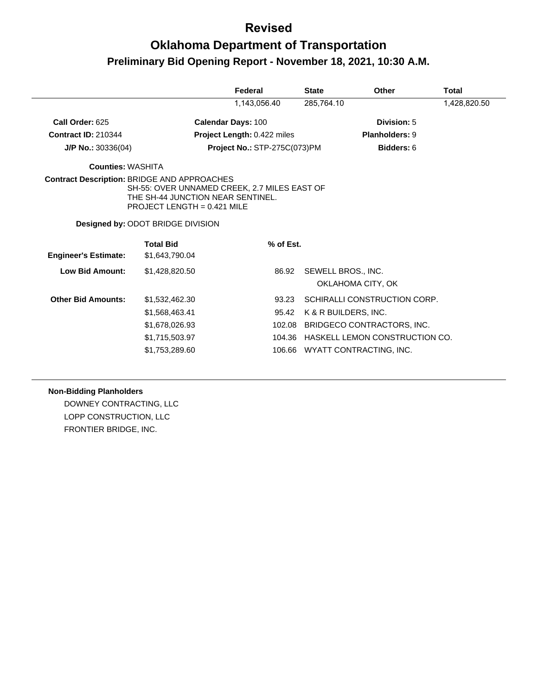# **Oklahoma Department of Transportation Preliminary Bid Opening Report - November 18, 2021, 10:30 A.M.**

|                                                    |                                                                                                                    | Federal                      | <b>State</b> | Other                          | Total        |
|----------------------------------------------------|--------------------------------------------------------------------------------------------------------------------|------------------------------|--------------|--------------------------------|--------------|
|                                                    |                                                                                                                    | 1,143,056.40                 | 285,764.10   |                                | 1,428,820.50 |
| Call Order: 625                                    |                                                                                                                    | <b>Calendar Days: 100</b>    |              | Division: 5                    |              |
| <b>Contract ID: 210344</b>                         |                                                                                                                    | Project Length: 0.422 miles  |              | <b>Planholders: 9</b>          |              |
| $J/P$ No.: 30336(04)                               |                                                                                                                    | Project No.: STP-275C(073)PM |              | Bidders: 6                     |              |
| <b>Counties: WASHITA</b>                           |                                                                                                                    |                              |              |                                |              |
| <b>Contract Description: BRIDGE AND APPROACHES</b> | SH-55: OVER UNNAMED CREEK, 2.7 MILES EAST OF<br>THE SH-44 JUNCTION NEAR SENTINEL.<br>PROJECT LENGTH = $0.421$ MILE |                              |              |                                |              |
|                                                    | Designed by: ODOT BRIDGE DIVISION                                                                                  |                              |              |                                |              |
|                                                    | <b>Total Bid</b>                                                                                                   | % of Est.                    |              |                                |              |
| <b>Engineer's Estimate:</b>                        | \$1,643,790.04                                                                                                     |                              |              |                                |              |
| <b>Low Bid Amount:</b>                             | \$1,428,820.50                                                                                                     | 86.92                        |              | SEWELL BROS., INC.             |              |
|                                                    |                                                                                                                    |                              |              | OKLAHOMA CITY, OK              |              |
| <b>Other Bid Amounts:</b>                          | \$1,532,462.30                                                                                                     | 93.23                        |              | SCHIRALLI CONSTRUCTION CORP.   |              |
|                                                    | \$1,568,463.41                                                                                                     | 95.42                        |              | K & R BUILDERS, INC.           |              |
|                                                    | \$1,678,026.93                                                                                                     | 102.08                       |              | BRIDGECO CONTRACTORS, INC.     |              |
|                                                    | \$1,715,503.97                                                                                                     | 104.36                       |              | HASKELL LEMON CONSTRUCTION CO. |              |
|                                                    | \$1,753,289.60                                                                                                     | 106.66                       |              | WYATT CONTRACTING, INC.        |              |
|                                                    |                                                                                                                    |                              |              |                                |              |

#### **Non-Bidding Planholders**

DOWNEY CONTRACTING, LLC LOPP CONSTRUCTION, LLC FRONTIER BRIDGE, INC.